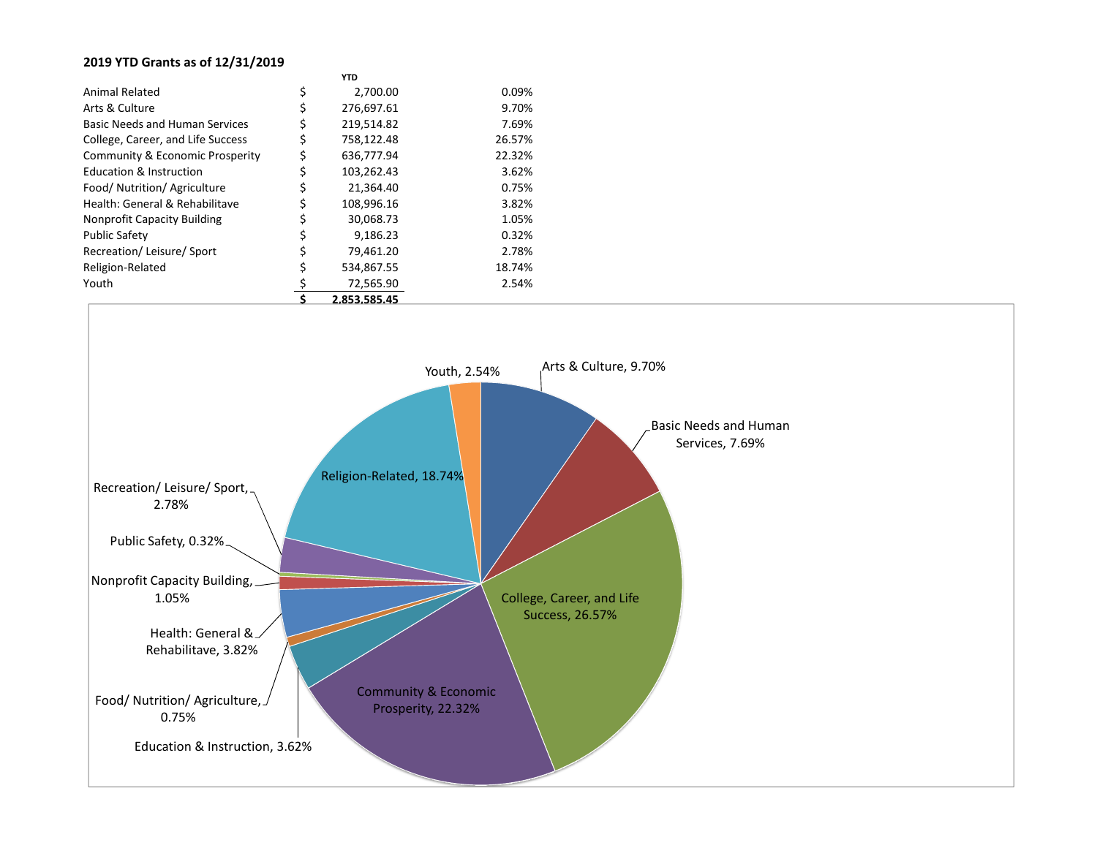## **2019 YTD Grants as of 12/31/2019**

|                                            | 9 OF9 FOF AF     |        |
|--------------------------------------------|------------------|--------|
| Youth                                      | 72,565.90        | 2.54%  |
| Religion-Related                           | \$<br>534,867.55 | 18.74% |
| Recreation/Leisure/Sport                   | \$<br>79,461.20  | 2.78%  |
| <b>Public Safety</b>                       | \$<br>9,186.23   | 0.32%  |
| <b>Nonprofit Capacity Building</b>         | \$<br>30,068.73  | 1.05%  |
| Health: General & Rehabilitave             | \$<br>108,996.16 | 3.82%  |
| Food/ Nutrition/ Agriculture               | \$<br>21,364.40  | 0.75%  |
| <b>Education &amp; Instruction</b>         | \$<br>103,262.43 | 3.62%  |
| <b>Community &amp; Economic Prosperity</b> | \$<br>636,777.94 | 22.32% |
| College, Career, and Life Success          | \$<br>758,122.48 | 26.57% |
| <b>Basic Needs and Human Services</b>      | \$<br>219,514.82 | 7.69%  |
| Arts & Culture                             | \$<br>276,697.61 | 9.70%  |
| <b>Animal Related</b>                      | \$<br>2,700.00   | 0.09%  |
|                                            | YTD              |        |

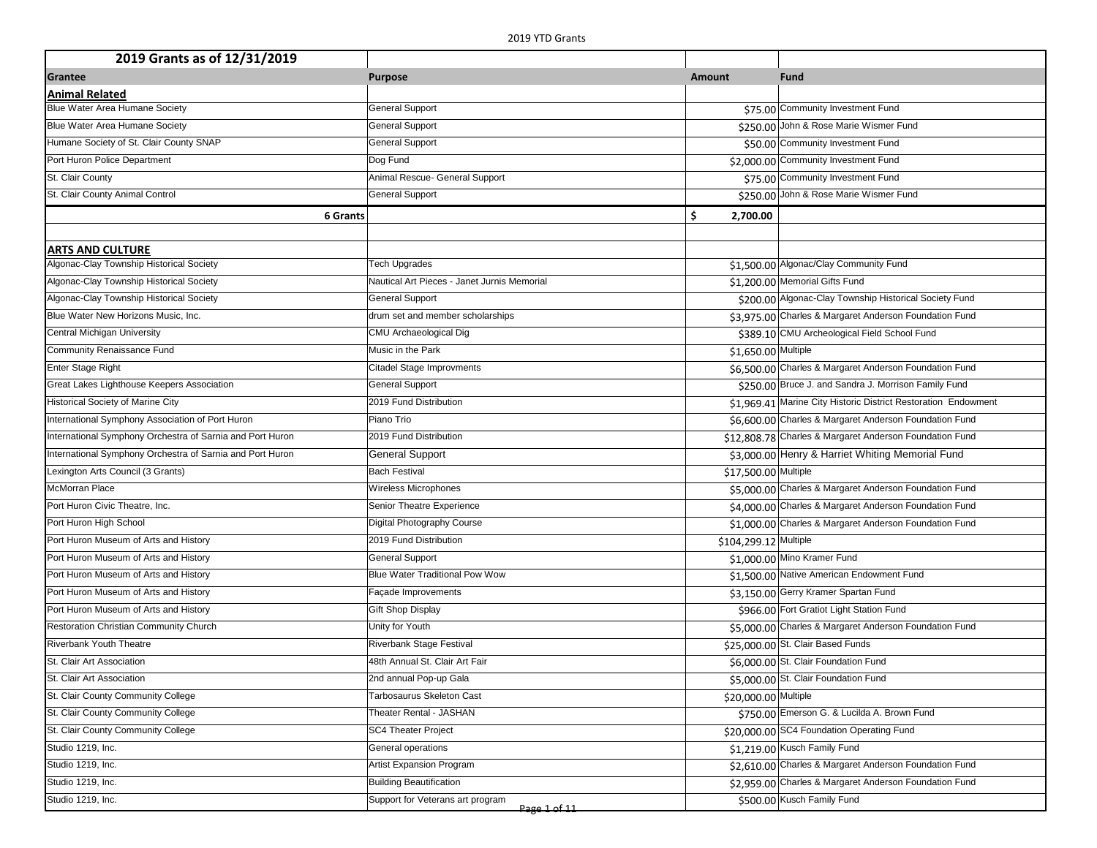| 2019 Grants as of 12/31/2019                              |                                                  |                       |                                                                |
|-----------------------------------------------------------|--------------------------------------------------|-----------------------|----------------------------------------------------------------|
| Grantee                                                   | <b>Purpose</b>                                   | Amount                | <b>Fund</b>                                                    |
| <b>Animal Related</b>                                     |                                                  |                       |                                                                |
| Blue Water Area Humane Society                            | <b>General Support</b>                           |                       | \$75.00 Community Investment Fund                              |
| Blue Water Area Humane Society                            | <b>General Support</b>                           |                       | \$250.00 John & Rose Marie Wismer Fund                         |
| Humane Society of St. Clair County SNAP                   | <b>General Support</b>                           |                       | \$50.00 Community Investment Fund                              |
| Port Huron Police Department                              | Dog Fund                                         |                       | \$2,000.00 Community Investment Fund                           |
| St. Clair County                                          | Animal Rescue- General Support                   |                       | \$75.00 Community Investment Fund                              |
| St. Clair County Animal Control                           | <b>General Support</b>                           |                       | \$250.00 John & Rose Marie Wismer Fund                         |
| <b>6 Grants</b>                                           |                                                  | \$<br>2,700.00        |                                                                |
|                                                           |                                                  |                       |                                                                |
| ARTS AND CULTURE                                          |                                                  |                       |                                                                |
| Algonac-Clay Township Historical Society                  | <b>Tech Upgrades</b>                             |                       | \$1,500.00 Algonac/Clay Community Fund                         |
| Algonac-Clay Township Historical Society                  | Nautical Art Pieces - Janet Jurnis Memorial      |                       | \$1,200.00 Memorial Gifts Fund                                 |
| Algonac-Clay Township Historical Society                  | <b>General Support</b>                           |                       | \$200.00 Algonac-Clay Township Historical Society Fund         |
| Blue Water New Horizons Music, Inc.                       | drum set and member scholarships                 |                       | \$3,975.00 Charles & Margaret Anderson Foundation Fund         |
| Central Michigan University                               | CMU Archaeological Dig                           |                       | \$389.10 CMU Archeological Field School Fund                   |
| Community Renaissance Fund                                | Music in the Park                                | \$1,650.00 Multiple   |                                                                |
| <b>Enter Stage Right</b>                                  | Citadel Stage Improvments                        |                       | \$6,500.00 Charles & Margaret Anderson Foundation Fund         |
| Great Lakes Lighthouse Keepers Association                | <b>General Support</b>                           |                       | \$250.00 Bruce J. and Sandra J. Morrison Family Fund           |
| Historical Society of Marine City                         | 2019 Fund Distribution                           |                       | \$1,969.41 Marine City Historic District Restoration Endowment |
| International Symphony Association of Port Huron          | Piano Trio                                       |                       | \$6,600.00 Charles & Margaret Anderson Foundation Fund         |
| International Symphony Orchestra of Sarnia and Port Huron | 2019 Fund Distribution                           |                       | \$12,808.78 Charles & Margaret Anderson Foundation Fund        |
| International Symphony Orchestra of Sarnia and Port Huron | <b>General Support</b>                           |                       | \$3,000.00 Henry & Harriet Whiting Memorial Fund               |
| Lexington Arts Council (3 Grants)                         | <b>Bach Festival</b>                             | \$17,500.00 Multiple  |                                                                |
| <b>McMorran Place</b>                                     | Wireless Microphones                             |                       | \$5,000.00 Charles & Margaret Anderson Foundation Fund         |
| Port Huron Civic Theatre, Inc.                            | Senior Theatre Experience                        |                       | \$4,000.00 Charles & Margaret Anderson Foundation Fund         |
| Port Huron High School                                    | Digital Photography Course                       |                       | \$1,000.00 Charles & Margaret Anderson Foundation Fund         |
| Port Huron Museum of Arts and History                     | 2019 Fund Distribution                           | \$104,299.12 Multiple |                                                                |
| Port Huron Museum of Arts and History                     | <b>General Support</b>                           |                       | \$1,000.00 Mino Kramer Fund                                    |
| Port Huron Museum of Arts and History                     | <b>Blue Water Traditional Pow Wow</b>            |                       | \$1,500.00 Native American Endowment Fund                      |
| Port Huron Museum of Arts and History                     | Façade Improvements                              |                       | \$3,150.00 Gerry Kramer Spartan Fund                           |
| Port Huron Museum of Arts and History                     | Gift Shop Display                                |                       | \$966.00 Fort Gratiot Light Station Fund                       |
| Restoration Christian Community Church                    | Unity for Youth                                  |                       | \$5,000.00 Charles & Margaret Anderson Foundation Fund         |
| <b>Riverbank Youth Theatre</b>                            | <b>Riverbank Stage Festival</b>                  |                       | \$25,000.00 St. Clair Based Funds                              |
| St. Clair Art Association                                 | 48th Annual St. Clair Art Fair                   |                       | \$6,000.00 St. Clair Foundation Fund                           |
| St. Clair Art Association                                 | 2nd annual Pop-up Gala                           |                       | \$5,000.00 St. Clair Foundation Fund                           |
| St. Clair County Community College                        | Tarbosaurus Skeleton Cast                        | \$20,000.00 Multiple  |                                                                |
| St. Clair County Community College                        | Theater Rental - JASHAN                          |                       | \$750.00 Emerson G. & Lucilda A. Brown Fund                    |
| St. Clair County Community College                        | <b>SC4 Theater Project</b>                       |                       | \$20,000.00 SC4 Foundation Operating Fund                      |
| Studio 1219, Inc.                                         | General operations                               |                       | \$1,219.00 Kusch Family Fund                                   |
| Studio 1219, Inc.                                         | <b>Artist Expansion Program</b>                  |                       | \$2,610.00 Charles & Margaret Anderson Foundation Fund         |
| Studio 1219, Inc.                                         | <b>Building Beautification</b>                   |                       | \$2,959.00 Charles & Margaret Anderson Foundation Fund         |
| Studio 1219, Inc.                                         | Support for Veterans art program<br>Page 1 of 11 |                       | \$500.00 Kusch Family Fund                                     |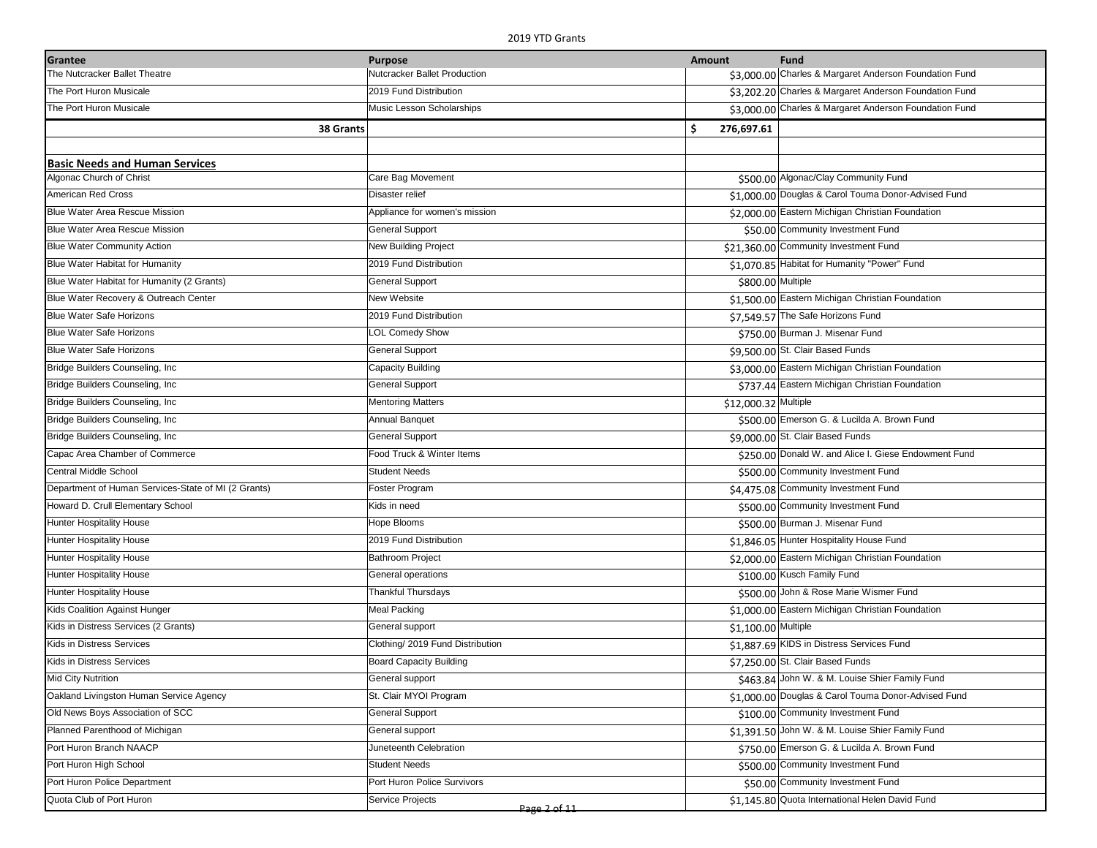| Grantee                                             | <b>Purpose</b>                   | Amount               | <b>Fund</b>                                            |
|-----------------------------------------------------|----------------------------------|----------------------|--------------------------------------------------------|
| The Nutcracker Ballet Theatre                       | Nutcracker Ballet Production     |                      | \$3,000.00 Charles & Margaret Anderson Foundation Fund |
| The Port Huron Musicale                             | 2019 Fund Distribution           |                      | \$3,202.20 Charles & Margaret Anderson Foundation Fund |
| The Port Huron Musicale                             | Music Lesson Scholarships        |                      | \$3,000.00 Charles & Margaret Anderson Foundation Fund |
| 38 Grants                                           |                                  | \$.<br>276,697.61    |                                                        |
|                                                     |                                  |                      |                                                        |
| <b>Basic Needs and Human Services</b>               |                                  |                      |                                                        |
| Algonac Church of Christ                            | Care Bag Movement                |                      | \$500.00 Algonac/Clay Community Fund                   |
| American Red Cross                                  | Disaster relief                  |                      | \$1,000.00 Douglas & Carol Touma Donor-Advised Fund    |
| <b>Blue Water Area Rescue Mission</b>               | Appliance for women's mission    |                      | \$2,000.00 Eastern Michigan Christian Foundation       |
| <b>Blue Water Area Rescue Mission</b>               | <b>General Support</b>           |                      | \$50.00 Community Investment Fund                      |
| <b>Blue Water Community Action</b>                  | <b>New Building Project</b>      |                      | \$21,360.00 Community Investment Fund                  |
| Blue Water Habitat for Humanity                     | 2019 Fund Distribution           |                      | \$1,070.85 Habitat for Humanity "Power" Fund           |
| Blue Water Habitat for Humanity (2 Grants)          | <b>General Support</b>           | \$800.00 Multiple    |                                                        |
| Blue Water Recovery & Outreach Center               | New Website                      |                      | \$1,500.00 Eastern Michigan Christian Foundation       |
| <b>Blue Water Safe Horizons</b>                     | 2019 Fund Distribution           |                      | \$7,549.57 The Safe Horizons Fund                      |
| <b>Blue Water Safe Horizons</b>                     | <b>LOL Comedy Show</b>           |                      | \$750.00 Burman J. Misenar Fund                        |
| <b>Blue Water Safe Horizons</b>                     | <b>General Support</b>           |                      | \$9,500.00 St. Clair Based Funds                       |
| Bridge Builders Counseling, Inc.                    | <b>Capacity Building</b>         |                      | \$3,000.00 Eastern Michigan Christian Foundation       |
| Bridge Builders Counseling, Inc.                    | <b>General Support</b>           |                      | \$737.44 Eastern Michigan Christian Foundation         |
| Bridge Builders Counseling, Inc.                    | <b>Mentoring Matters</b>         | \$12,000.32 Multiple |                                                        |
| Bridge Builders Counseling, Inc.                    | Annual Banquet                   |                      | \$500.00 Emerson G. & Lucilda A. Brown Fund            |
| Bridge Builders Counseling, Inc.                    | <b>General Support</b>           |                      | \$9,000.00 St. Clair Based Funds                       |
| Capac Area Chamber of Commerce                      | Food Truck & Winter Items        |                      | \$250.00 Donald W. and Alice I. Giese Endowment Fund   |
| Central Middle School                               | <b>Student Needs</b>             |                      | \$500.00 Community Investment Fund                     |
| Department of Human Services-State of MI (2 Grants) | Foster Program                   |                      | \$4,475.08 Community Investment Fund                   |
| Howard D. Crull Elementary School                   | Kids in need                     |                      | \$500.00 Community Investment Fund                     |
| <b>Hunter Hospitality House</b>                     | Hope Blooms                      |                      | \$500.00 Burman J. Misenar Fund                        |
| <b>Hunter Hospitality House</b>                     | 2019 Fund Distribution           |                      | \$1,846.05 Hunter Hospitality House Fund               |
| Hunter Hospitality House                            | Bathroom Project                 |                      | \$2,000.00 Eastern Michigan Christian Foundation       |
| Hunter Hospitality House                            | General operations               |                      | \$100.00 Kusch Family Fund                             |
| <b>Hunter Hospitality House</b>                     | Thankful Thursdays               |                      | \$500.00 John & Rose Marie Wismer Fund                 |
| Kids Coalition Against Hunger                       | <b>Meal Packing</b>              |                      | \$1,000.00 Eastern Michigan Christian Foundation       |
| Kids in Distress Services (2 Grants)                | General support                  | \$1,100.00 Multiple  |                                                        |
| Kids in Distress Services                           | Clothing/ 2019 Fund Distribution |                      | \$1,887.69 KIDS in Distress Services Fund              |
| <b>Kids in Distress Services</b>                    | <b>Board Capacity Building</b>   |                      | \$7,250.00 St. Clair Based Funds                       |
| <b>Mid City Nutrition</b>                           | General support                  |                      | \$463.84 John W. & M. Louise Shier Family Fund         |
| Oakland Livingston Human Service Agency             | St. Clair MYOI Program           |                      | \$1,000.00 Douglas & Carol Touma Donor-Advised Fund    |
| Old News Boys Association of SCC                    | <b>General Support</b>           |                      | \$100.00 Community Investment Fund                     |
| Planned Parenthood of Michigan                      | General support                  |                      | \$1,391.50 John W. & M. Louise Shier Family Fund       |
| Port Huron Branch NAACP                             | Juneteenth Celebration           |                      | \$750.00 Emerson G. & Lucilda A. Brown Fund            |
| Port Huron High School                              | <b>Student Needs</b>             |                      | \$500.00 Community Investment Fund                     |
| Port Huron Police Department                        | Port Huron Police Survivors      |                      | \$50.00 Community Investment Fund                      |
| Quota Club of Port Huron                            | Service Projects<br>Page 2 of 11 |                      | \$1,145.80 Quota International Helen David Fund        |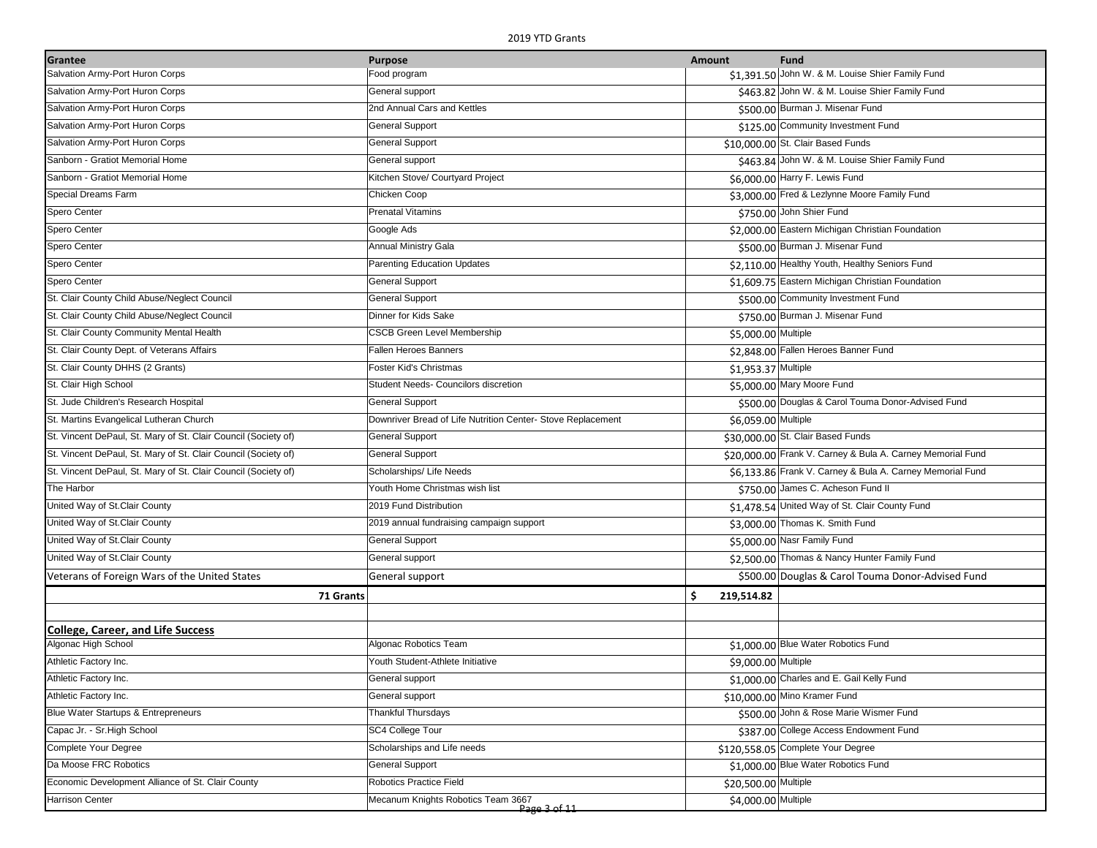| Grantee                                                        | <b>Purpose</b>                                              | Amount               | <b>Fund</b>                                                |
|----------------------------------------------------------------|-------------------------------------------------------------|----------------------|------------------------------------------------------------|
| Salvation Army-Port Huron Corps                                | Food program                                                |                      | \$1,391.50 John W. & M. Louise Shier Family Fund           |
| Salvation Army-Port Huron Corps                                | General support                                             |                      | \$463.82 John W. & M. Louise Shier Family Fund             |
| Salvation Army-Port Huron Corps                                | 2nd Annual Cars and Kettles                                 |                      | \$500.00 Burman J. Misenar Fund                            |
| Salvation Army-Port Huron Corps                                | <b>General Support</b>                                      |                      | \$125.00 Community Investment Fund                         |
| Salvation Army-Port Huron Corps                                | <b>General Support</b>                                      |                      | \$10,000.00 St. Clair Based Funds                          |
| Sanborn - Gratiot Memorial Home                                | General support                                             |                      | \$463.84 John W. & M. Louise Shier Family Fund             |
| Sanborn - Gratiot Memorial Home                                | Kitchen Stove/ Courtyard Project                            |                      | \$6,000.00 Harry F. Lewis Fund                             |
| Special Dreams Farm                                            | Chicken Coop                                                |                      | \$3,000.00 Fred & Lezlynne Moore Family Fund               |
| Spero Center                                                   | <b>Prenatal Vitamins</b>                                    |                      | \$750.00 John Shier Fund                                   |
| Spero Center                                                   | Google Ads                                                  |                      | \$2,000.00 Eastern Michigan Christian Foundation           |
| Spero Center                                                   | <b>Annual Ministry Gala</b>                                 |                      | \$500.00 Burman J. Misenar Fund                            |
| Spero Center                                                   | <b>Parenting Education Updates</b>                          |                      | \$2,110.00 Healthy Youth, Healthy Seniors Fund             |
| Spero Center                                                   | <b>General Support</b>                                      |                      | \$1,609.75 Eastern Michigan Christian Foundation           |
| St. Clair County Child Abuse/Neglect Council                   | <b>General Support</b>                                      |                      | \$500.00 Community Investment Fund                         |
| St. Clair County Child Abuse/Neglect Council                   | Dinner for Kids Sake                                        |                      | \$750.00 Burman J. Misenar Fund                            |
| St. Clair County Community Mental Health                       | <b>CSCB Green Level Membership</b>                          | \$5,000.00 Multiple  |                                                            |
| St. Clair County Dept. of Veterans Affairs                     | Fallen Heroes Banners                                       |                      | \$2,848.00 Fallen Heroes Banner Fund                       |
| St. Clair County DHHS (2 Grants)                               | Foster Kid's Christmas                                      | \$1,953.37 Multiple  |                                                            |
| St. Clair High School                                          | Student Needs- Councilors discretion                        |                      | \$5,000.00 Mary Moore Fund                                 |
| St. Jude Children's Research Hospital                          | <b>General Support</b>                                      |                      | \$500.00 Douglas & Carol Touma Donor-Advised Fund          |
| St. Martins Evangelical Lutheran Church                        | Downriver Bread of Life Nutrition Center- Stove Replacement | \$6,059.00 Multiple  |                                                            |
| St. Vincent DePaul, St. Mary of St. Clair Council (Society of) | <b>General Support</b>                                      |                      | \$30,000.00 St. Clair Based Funds                          |
| St. Vincent DePaul, St. Mary of St. Clair Council (Society of) | <b>General Support</b>                                      |                      | \$20,000.00 Frank V. Carney & Bula A. Carney Memorial Fund |
| St. Vincent DePaul, St. Mary of St. Clair Council (Society of) | Scholarships/ Life Needs                                    |                      | \$6,133.86 Frank V. Carney & Bula A. Carney Memorial Fund  |
| The Harbor                                                     | Youth Home Christmas wish list                              |                      | \$750.00 James C. Acheson Fund II                          |
| United Way of St.Clair County                                  | 2019 Fund Distribution                                      |                      | \$1,478.54 United Way of St. Clair County Fund             |
| United Way of St.Clair County                                  | 2019 annual fundraising campaign support                    |                      | \$3,000.00 Thomas K. Smith Fund                            |
| United Way of St.Clair County                                  | <b>General Support</b>                                      |                      | \$5,000.00 Nasr Family Fund                                |
| United Way of St.Clair County                                  | General support                                             |                      | \$2,500.00 Thomas & Nancy Hunter Family Fund               |
| Veterans of Foreign Wars of the United States                  | General support                                             |                      | \$500.00 Douglas & Carol Touma Donor-Advised Fund          |
| 71 Grants                                                      |                                                             | \$<br>219,514.82     |                                                            |
|                                                                |                                                             |                      |                                                            |
| <b>College, Career, and Life Success</b>                       |                                                             |                      |                                                            |
| Algonac High School                                            | Algonac Robotics Team                                       |                      | \$1,000.00 Blue Water Robotics Fund                        |
| Athletic Factory Inc.                                          | Youth Student-Athlete Initiative                            | \$9,000.00 Multiple  |                                                            |
| Athletic Factory Inc.                                          | General support                                             |                      | \$1,000.00 Charles and E. Gail Kelly Fund                  |
| Athletic Factory Inc.                                          | General support                                             |                      | \$10,000.00 Mino Kramer Fund                               |
| Blue Water Startups & Entrepreneurs                            | Thankful Thursdays                                          |                      | \$500.00 John & Rose Marie Wismer Fund                     |
| Capac Jr. - Sr. High School                                    | SC4 College Tour                                            |                      | \$387.00 College Access Endowment Fund                     |
| <b>Complete Your Degree</b>                                    | Scholarships and Life needs                                 |                      | \$120,558.05 Complete Your Degree                          |
| Da Moose FRC Robotics                                          | <b>General Support</b>                                      |                      | \$1,000.00 Blue Water Robotics Fund                        |
| Economic Development Alliance of St. Clair County              | Robotics Practice Field                                     | \$20,500.00 Multiple |                                                            |
| <b>Harrison Center</b>                                         | Mecanum Knights Robotics Team 3667<br>Page 3 of 11          | \$4,000.00 Multiple  |                                                            |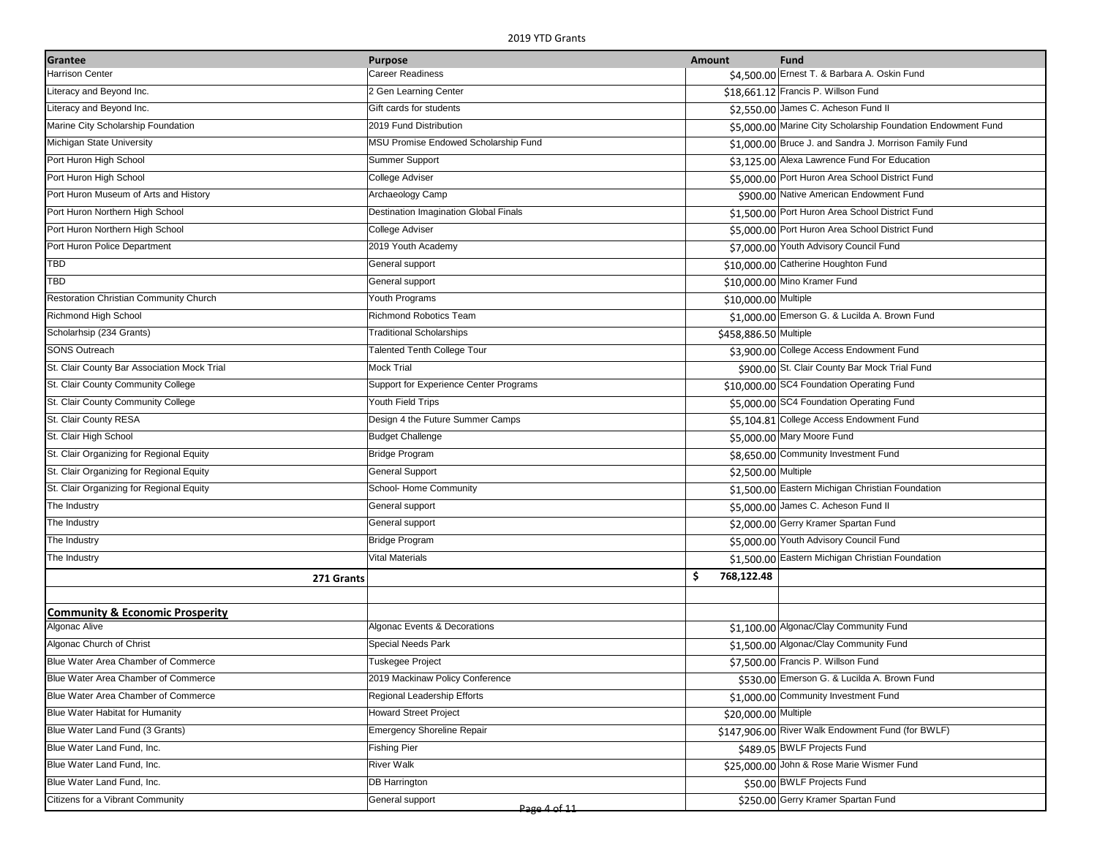| Grantee                                     | <b>Purpose</b>                         | Amount                | <b>Fund</b>                                                  |
|---------------------------------------------|----------------------------------------|-----------------------|--------------------------------------------------------------|
| <b>Harrison Center</b>                      | <b>Career Readiness</b>                |                       | \$4,500.00 Ernest T. & Barbara A. Oskin Fund                 |
| Literacy and Beyond Inc.                    | 2 Gen Learning Center                  |                       | \$18,661.12 Francis P. Willson Fund                          |
| Literacy and Beyond Inc.                    | Gift cards for students                |                       | \$2,550.00 James C. Acheson Fund II                          |
| Marine City Scholarship Foundation          | 2019 Fund Distribution                 |                       | \$5,000.00 Marine City Scholarship Foundation Endowment Fund |
| Michigan State University                   | MSU Promise Endowed Scholarship Fund   |                       | \$1,000.00 Bruce J. and Sandra J. Morrison Family Fund       |
| Port Huron High School                      | Summer Support                         |                       | \$3,125.00 Alexa Lawrence Fund For Education                 |
| Port Huron High School                      | College Adviser                        |                       | \$5,000.00 Port Huron Area School District Fund              |
| Port Huron Museum of Arts and History       | Archaeology Camp                       |                       | \$900.00 Native American Endowment Fund                      |
| Port Huron Northern High School             | Destination Imagination Global Finals  |                       | \$1,500.00 Port Huron Area School District Fund              |
| Port Huron Northern High School             | College Adviser                        |                       | \$5,000.00 Port Huron Area School District Fund              |
| Port Huron Police Department                | 2019 Youth Academy                     |                       | \$7,000.00 Youth Advisory Council Fund                       |
| TBD                                         | General support                        |                       | \$10,000.00 Catherine Houghton Fund                          |
| TBD                                         | General support                        |                       | \$10,000.00 Mino Kramer Fund                                 |
| Restoration Christian Community Church      | Youth Programs                         | \$10,000.00 Multiple  |                                                              |
| Richmond High School                        | <b>Richmond Robotics Team</b>          |                       | \$1,000.00 Emerson G. & Lucilda A. Brown Fund                |
| Scholarhsip (234 Grants)                    | <b>Traditional Scholarships</b>        | \$458,886.50 Multiple |                                                              |
| <b>SONS Outreach</b>                        | <b>Talented Tenth College Tour</b>     |                       | \$3,900.00 College Access Endowment Fund                     |
| St. Clair County Bar Association Mock Trial | <b>Mock Trial</b>                      |                       | \$900.00 St. Clair County Bar Mock Trial Fund                |
| St. Clair County Community College          | Support for Experience Center Programs |                       | \$10,000.00 SC4 Foundation Operating Fund                    |
| St. Clair County Community College          | Youth Field Trips                      |                       | \$5,000.00 SC4 Foundation Operating Fund                     |
| St. Clair County RESA                       | Design 4 the Future Summer Camps       |                       | \$5,104.81 College Access Endowment Fund                     |
| St. Clair High School                       | <b>Budget Challenge</b>                |                       | \$5,000.00 Mary Moore Fund                                   |
| St. Clair Organizing for Regional Equity    | <b>Bridge Program</b>                  |                       | \$8,650.00 Community Investment Fund                         |
| St. Clair Organizing for Regional Equity    | <b>General Support</b>                 | \$2,500.00 Multiple   |                                                              |
| St. Clair Organizing for Regional Equity    | School- Home Community                 |                       | \$1,500.00 Eastern Michigan Christian Foundation             |
| The Industry                                | General support                        |                       | \$5,000.00 James C. Acheson Fund II                          |
| The Industry                                | General support                        |                       | \$2,000.00 Gerry Kramer Spartan Fund                         |
| The Industry                                | <b>Bridge Program</b>                  |                       | \$5,000.00 Youth Advisory Council Fund                       |
| The Industry                                | <b>Vital Materials</b>                 |                       | \$1,500.00 Eastern Michigan Christian Foundation             |
| 271 Grants                                  |                                        | \$.<br>768,122.48     |                                                              |
|                                             |                                        |                       |                                                              |
| <b>Community &amp; Economic Prosperity</b>  |                                        |                       |                                                              |
| Algonac Alive                               | Algonac Events & Decorations           |                       | \$1,100.00 Algonac/Clay Community Fund                       |
| Algonac Church of Christ                    | Special Needs Park                     |                       | \$1,500.00 Algonac/Clay Community Fund                       |
| Blue Water Area Chamber of Commerce         | Tuskegee Project                       |                       | \$7,500.00 Francis P. Willson Fund                           |
| Blue Water Area Chamber of Commerce         | 2019 Mackinaw Policy Conference        |                       | \$530.00 Emerson G. & Lucilda A. Brown Fund                  |
| Blue Water Area Chamber of Commerce         | Regional Leadership Efforts            |                       | \$1,000.00 Community Investment Fund                         |
| Blue Water Habitat for Humanity             | <b>Howard Street Project</b>           | \$20,000.00 Multiple  |                                                              |
| Blue Water Land Fund (3 Grants)             | <b>Emergency Shoreline Repair</b>      |                       | \$147,906.00 River Walk Endowment Fund (for BWLF)            |
| Blue Water Land Fund, Inc.                  | <b>Fishing Pier</b>                    |                       | \$489.05 BWLF Projects Fund                                  |
| Blue Water Land Fund, Inc.                  | <b>River Walk</b>                      |                       | \$25,000.00 John & Rose Marie Wismer Fund                    |
| Blue Water Land Fund, Inc.                  | <b>DB Harrington</b>                   |                       | \$50.00 BWLF Projects Fund                                   |
| Citizens for a Vibrant Community            | General support<br>Page 4 of 11        |                       | \$250.00 Gerry Kramer Spartan Fund                           |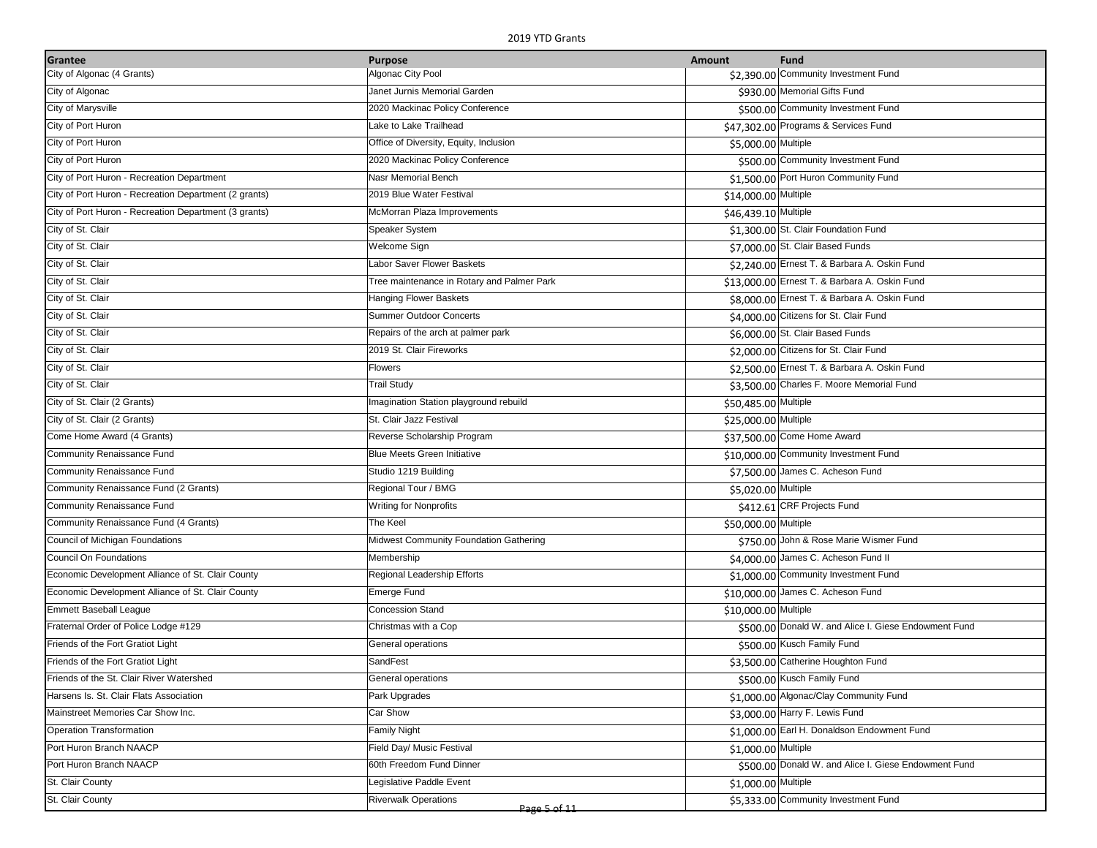| City of Algonac (4 Grants)<br>Algonac City Pool<br>\$2,390.00 Community Investment Fund<br>\$930.00 Memorial Gifts Fund<br>City of Algonac<br>Janet Jurnis Memorial Garden<br>City of Marysville<br>2020 Mackinac Policy Conference<br>\$500.00 Community Investment Fund<br>City of Port Huron<br>Lake to Lake Trailhead<br>\$47,302.00 Programs & Services Fund<br>City of Port Huron<br>Office of Diversity, Equity, Inclusion<br>\$5,000.00 Multiple<br>City of Port Huron<br>\$500.00 Community Investment Fund<br>2020 Mackinac Policy Conference<br>Nasr Memorial Bench<br>\$1,500.00 Port Huron Community Fund<br>City of Port Huron - Recreation Department<br>City of Port Huron - Recreation Department (2 grants)<br>2019 Blue Water Festival<br>\$14,000.00 Multiple<br>City of Port Huron - Recreation Department (3 grants)<br>McMorran Plaza Improvements<br>\$46,439.10 Multiple<br>City of St. Clair<br>\$1,300.00 St. Clair Foundation Fund<br>Speaker System<br>\$7,000.00 St. Clair Based Funds<br>City of St. Clair<br>Welcome Sign<br>City of St. Clair<br>Labor Saver Flower Baskets<br>\$2,240.00 Ernest T. & Barbara A. Oskin Fund<br>City of St. Clair<br>\$13,000.00 Ernest T. & Barbara A. Oskin Fund<br>Tree maintenance in Rotary and Palmer Park<br>Hanging Flower Baskets<br>\$8,000.00 Ernest T. & Barbara A. Oskin Fund<br>City of St. Clair<br><b>Summer Outdoor Concerts</b><br>\$4,000.00 Citizens for St. Clair Fund<br>City of St. Clair<br>\$6,000.00 St. Clair Based Funds<br>City of St. Clair<br>Repairs of the arch at palmer park<br>City of St. Clair<br>\$2,000.00 Citizens for St. Clair Fund<br>2019 St. Clair Fireworks<br>City of St. Clair<br>\$2,500.00 Ernest T. & Barbara A. Oskin Fund<br>Flowers<br>City of St. Clair<br>\$3,500.00 Charles F. Moore Memorial Fund<br><b>Trail Study</b><br>City of St. Clair (2 Grants)<br>Imagination Station playground rebuild<br>\$50,485.00 Multiple<br>City of St. Clair (2 Grants)<br>St. Clair Jazz Festival<br>\$25,000.00 Multiple<br>Come Home Award (4 Grants)<br>Reverse Scholarship Program<br>\$37,500.00 Come Home Award<br>Community Renaissance Fund<br><b>Blue Meets Green Initiative</b><br>\$10,000.00 Community Investment Fund<br>Community Renaissance Fund<br>\$7,500.00 James C. Acheson Fund<br>Studio 1219 Building<br>Regional Tour / BMG<br>Community Renaissance Fund (2 Grants)<br>\$5,020.00 Multiple<br>Community Renaissance Fund<br>\$412.61 CRF Projects Fund<br>Writing for Nonprofits<br>Community Renaissance Fund (4 Grants)<br>The Keel<br>\$50,000.00 Multiple<br>Council of Michigan Foundations<br>Midwest Community Foundation Gathering<br>\$750.00 John & Rose Marie Wismer Fund<br>Council On Foundations<br>\$4,000.00 James C. Acheson Fund II<br>Membership<br>Economic Development Alliance of St. Clair County<br>\$1,000.00 Community Investment Fund<br>Regional Leadership Efforts<br>Economic Development Alliance of St. Clair County<br>\$10,000.00 James C. Acheson Fund<br><b>Emerge Fund</b><br><b>Emmett Baseball League</b><br><b>Concession Stand</b><br>\$10,000.00 Multiple<br>Fraternal Order of Police Lodge #129<br>\$500.00 Donald W. and Alice I. Giese Endowment Fund<br>Christmas with a Cop<br>\$500.00 Kusch Family Fund<br>Friends of the Fort Gratiot Light<br>General operations<br>SandFest<br>Friends of the Fort Gratiot Light<br>\$3,500.00 Catherine Houghton Fund<br>Friends of the St. Clair River Watershed<br>\$500.00 Kusch Family Fund<br>General operations<br>Park Upgrades<br>\$1,000.00 Algonac/Clay Community Fund<br>Harsens Is. St. Clair Flats Association<br>Mainstreet Memories Car Show Inc.<br>Car Show<br>\$3,000.00 Harry F. Lewis Fund<br><b>Operation Transformation</b><br>\$1,000.00 Earl H. Donaldson Endowment Fund<br><b>Family Night</b><br>Port Huron Branch NAACP<br>Field Day/ Music Festival<br>\$1,000.00 Multiple<br>Port Huron Branch NAACP<br>\$500.00 Donald W. and Alice I. Giese Endowment Fund<br>60th Freedom Fund Dinner<br>St. Clair County<br>Legislative Paddle Event<br>\$1,000.00 Multiple<br>St. Clair County<br><b>Riverwalk Operations</b><br>\$5,333.00 Community Investment Fund | Grantee | <b>Purpose</b> | <b>Amount</b> | <b>Fund</b> |
|----------------------------------------------------------------------------------------------------------------------------------------------------------------------------------------------------------------------------------------------------------------------------------------------------------------------------------------------------------------------------------------------------------------------------------------------------------------------------------------------------------------------------------------------------------------------------------------------------------------------------------------------------------------------------------------------------------------------------------------------------------------------------------------------------------------------------------------------------------------------------------------------------------------------------------------------------------------------------------------------------------------------------------------------------------------------------------------------------------------------------------------------------------------------------------------------------------------------------------------------------------------------------------------------------------------------------------------------------------------------------------------------------------------------------------------------------------------------------------------------------------------------------------------------------------------------------------------------------------------------------------------------------------------------------------------------------------------------------------------------------------------------------------------------------------------------------------------------------------------------------------------------------------------------------------------------------------------------------------------------------------------------------------------------------------------------------------------------------------------------------------------------------------------------------------------------------------------------------------------------------------------------------------------------------------------------------------------------------------------------------------------------------------------------------------------------------------------------------------------------------------------------------------------------------------------------------------------------------------------------------------------------------------------------------------------------------------------------------------------------------------------------------------------------------------------------------------------------------------------------------------------------------------------------------------------------------------------------------------------------------------------------------------------------------------------------------------------------------------------------------------------------------------------------------------------------------------------------------------------------------------------------------------------------------------------------------------------------------------------------------------------------------------------------------------------------------------------------------------------------------------------------------------------------------------------------------------------------------------------------------------------------------------------------------------------------------------------------------------------------------------------------------------------------------------------------------------------------------------------------------------------------------------------------------------------------------------------------------------------------------------------------------------------------------------------------------------------------------------------------------------------------------------------------------------------------------------------------|---------|----------------|---------------|-------------|
|                                                                                                                                                                                                                                                                                                                                                                                                                                                                                                                                                                                                                                                                                                                                                                                                                                                                                                                                                                                                                                                                                                                                                                                                                                                                                                                                                                                                                                                                                                                                                                                                                                                                                                                                                                                                                                                                                                                                                                                                                                                                                                                                                                                                                                                                                                                                                                                                                                                                                                                                                                                                                                                                                                                                                                                                                                                                                                                                                                                                                                                                                                                                                                                                                                                                                                                                                                                                                                                                                                                                                                                                                                                                                                                                                                                                                                                                                                                                                                                                                                                                                                                                                                                                                      |         |                |               |             |
|                                                                                                                                                                                                                                                                                                                                                                                                                                                                                                                                                                                                                                                                                                                                                                                                                                                                                                                                                                                                                                                                                                                                                                                                                                                                                                                                                                                                                                                                                                                                                                                                                                                                                                                                                                                                                                                                                                                                                                                                                                                                                                                                                                                                                                                                                                                                                                                                                                                                                                                                                                                                                                                                                                                                                                                                                                                                                                                                                                                                                                                                                                                                                                                                                                                                                                                                                                                                                                                                                                                                                                                                                                                                                                                                                                                                                                                                                                                                                                                                                                                                                                                                                                                                                      |         |                |               |             |
|                                                                                                                                                                                                                                                                                                                                                                                                                                                                                                                                                                                                                                                                                                                                                                                                                                                                                                                                                                                                                                                                                                                                                                                                                                                                                                                                                                                                                                                                                                                                                                                                                                                                                                                                                                                                                                                                                                                                                                                                                                                                                                                                                                                                                                                                                                                                                                                                                                                                                                                                                                                                                                                                                                                                                                                                                                                                                                                                                                                                                                                                                                                                                                                                                                                                                                                                                                                                                                                                                                                                                                                                                                                                                                                                                                                                                                                                                                                                                                                                                                                                                                                                                                                                                      |         |                |               |             |
|                                                                                                                                                                                                                                                                                                                                                                                                                                                                                                                                                                                                                                                                                                                                                                                                                                                                                                                                                                                                                                                                                                                                                                                                                                                                                                                                                                                                                                                                                                                                                                                                                                                                                                                                                                                                                                                                                                                                                                                                                                                                                                                                                                                                                                                                                                                                                                                                                                                                                                                                                                                                                                                                                                                                                                                                                                                                                                                                                                                                                                                                                                                                                                                                                                                                                                                                                                                                                                                                                                                                                                                                                                                                                                                                                                                                                                                                                                                                                                                                                                                                                                                                                                                                                      |         |                |               |             |
|                                                                                                                                                                                                                                                                                                                                                                                                                                                                                                                                                                                                                                                                                                                                                                                                                                                                                                                                                                                                                                                                                                                                                                                                                                                                                                                                                                                                                                                                                                                                                                                                                                                                                                                                                                                                                                                                                                                                                                                                                                                                                                                                                                                                                                                                                                                                                                                                                                                                                                                                                                                                                                                                                                                                                                                                                                                                                                                                                                                                                                                                                                                                                                                                                                                                                                                                                                                                                                                                                                                                                                                                                                                                                                                                                                                                                                                                                                                                                                                                                                                                                                                                                                                                                      |         |                |               |             |
|                                                                                                                                                                                                                                                                                                                                                                                                                                                                                                                                                                                                                                                                                                                                                                                                                                                                                                                                                                                                                                                                                                                                                                                                                                                                                                                                                                                                                                                                                                                                                                                                                                                                                                                                                                                                                                                                                                                                                                                                                                                                                                                                                                                                                                                                                                                                                                                                                                                                                                                                                                                                                                                                                                                                                                                                                                                                                                                                                                                                                                                                                                                                                                                                                                                                                                                                                                                                                                                                                                                                                                                                                                                                                                                                                                                                                                                                                                                                                                                                                                                                                                                                                                                                                      |         |                |               |             |
|                                                                                                                                                                                                                                                                                                                                                                                                                                                                                                                                                                                                                                                                                                                                                                                                                                                                                                                                                                                                                                                                                                                                                                                                                                                                                                                                                                                                                                                                                                                                                                                                                                                                                                                                                                                                                                                                                                                                                                                                                                                                                                                                                                                                                                                                                                                                                                                                                                                                                                                                                                                                                                                                                                                                                                                                                                                                                                                                                                                                                                                                                                                                                                                                                                                                                                                                                                                                                                                                                                                                                                                                                                                                                                                                                                                                                                                                                                                                                                                                                                                                                                                                                                                                                      |         |                |               |             |
|                                                                                                                                                                                                                                                                                                                                                                                                                                                                                                                                                                                                                                                                                                                                                                                                                                                                                                                                                                                                                                                                                                                                                                                                                                                                                                                                                                                                                                                                                                                                                                                                                                                                                                                                                                                                                                                                                                                                                                                                                                                                                                                                                                                                                                                                                                                                                                                                                                                                                                                                                                                                                                                                                                                                                                                                                                                                                                                                                                                                                                                                                                                                                                                                                                                                                                                                                                                                                                                                                                                                                                                                                                                                                                                                                                                                                                                                                                                                                                                                                                                                                                                                                                                                                      |         |                |               |             |
|                                                                                                                                                                                                                                                                                                                                                                                                                                                                                                                                                                                                                                                                                                                                                                                                                                                                                                                                                                                                                                                                                                                                                                                                                                                                                                                                                                                                                                                                                                                                                                                                                                                                                                                                                                                                                                                                                                                                                                                                                                                                                                                                                                                                                                                                                                                                                                                                                                                                                                                                                                                                                                                                                                                                                                                                                                                                                                                                                                                                                                                                                                                                                                                                                                                                                                                                                                                                                                                                                                                                                                                                                                                                                                                                                                                                                                                                                                                                                                                                                                                                                                                                                                                                                      |         |                |               |             |
|                                                                                                                                                                                                                                                                                                                                                                                                                                                                                                                                                                                                                                                                                                                                                                                                                                                                                                                                                                                                                                                                                                                                                                                                                                                                                                                                                                                                                                                                                                                                                                                                                                                                                                                                                                                                                                                                                                                                                                                                                                                                                                                                                                                                                                                                                                                                                                                                                                                                                                                                                                                                                                                                                                                                                                                                                                                                                                                                                                                                                                                                                                                                                                                                                                                                                                                                                                                                                                                                                                                                                                                                                                                                                                                                                                                                                                                                                                                                                                                                                                                                                                                                                                                                                      |         |                |               |             |
|                                                                                                                                                                                                                                                                                                                                                                                                                                                                                                                                                                                                                                                                                                                                                                                                                                                                                                                                                                                                                                                                                                                                                                                                                                                                                                                                                                                                                                                                                                                                                                                                                                                                                                                                                                                                                                                                                                                                                                                                                                                                                                                                                                                                                                                                                                                                                                                                                                                                                                                                                                                                                                                                                                                                                                                                                                                                                                                                                                                                                                                                                                                                                                                                                                                                                                                                                                                                                                                                                                                                                                                                                                                                                                                                                                                                                                                                                                                                                                                                                                                                                                                                                                                                                      |         |                |               |             |
|                                                                                                                                                                                                                                                                                                                                                                                                                                                                                                                                                                                                                                                                                                                                                                                                                                                                                                                                                                                                                                                                                                                                                                                                                                                                                                                                                                                                                                                                                                                                                                                                                                                                                                                                                                                                                                                                                                                                                                                                                                                                                                                                                                                                                                                                                                                                                                                                                                                                                                                                                                                                                                                                                                                                                                                                                                                                                                                                                                                                                                                                                                                                                                                                                                                                                                                                                                                                                                                                                                                                                                                                                                                                                                                                                                                                                                                                                                                                                                                                                                                                                                                                                                                                                      |         |                |               |             |
|                                                                                                                                                                                                                                                                                                                                                                                                                                                                                                                                                                                                                                                                                                                                                                                                                                                                                                                                                                                                                                                                                                                                                                                                                                                                                                                                                                                                                                                                                                                                                                                                                                                                                                                                                                                                                                                                                                                                                                                                                                                                                                                                                                                                                                                                                                                                                                                                                                                                                                                                                                                                                                                                                                                                                                                                                                                                                                                                                                                                                                                                                                                                                                                                                                                                                                                                                                                                                                                                                                                                                                                                                                                                                                                                                                                                                                                                                                                                                                                                                                                                                                                                                                                                                      |         |                |               |             |
|                                                                                                                                                                                                                                                                                                                                                                                                                                                                                                                                                                                                                                                                                                                                                                                                                                                                                                                                                                                                                                                                                                                                                                                                                                                                                                                                                                                                                                                                                                                                                                                                                                                                                                                                                                                                                                                                                                                                                                                                                                                                                                                                                                                                                                                                                                                                                                                                                                                                                                                                                                                                                                                                                                                                                                                                                                                                                                                                                                                                                                                                                                                                                                                                                                                                                                                                                                                                                                                                                                                                                                                                                                                                                                                                                                                                                                                                                                                                                                                                                                                                                                                                                                                                                      |         |                |               |             |
|                                                                                                                                                                                                                                                                                                                                                                                                                                                                                                                                                                                                                                                                                                                                                                                                                                                                                                                                                                                                                                                                                                                                                                                                                                                                                                                                                                                                                                                                                                                                                                                                                                                                                                                                                                                                                                                                                                                                                                                                                                                                                                                                                                                                                                                                                                                                                                                                                                                                                                                                                                                                                                                                                                                                                                                                                                                                                                                                                                                                                                                                                                                                                                                                                                                                                                                                                                                                                                                                                                                                                                                                                                                                                                                                                                                                                                                                                                                                                                                                                                                                                                                                                                                                                      |         |                |               |             |
|                                                                                                                                                                                                                                                                                                                                                                                                                                                                                                                                                                                                                                                                                                                                                                                                                                                                                                                                                                                                                                                                                                                                                                                                                                                                                                                                                                                                                                                                                                                                                                                                                                                                                                                                                                                                                                                                                                                                                                                                                                                                                                                                                                                                                                                                                                                                                                                                                                                                                                                                                                                                                                                                                                                                                                                                                                                                                                                                                                                                                                                                                                                                                                                                                                                                                                                                                                                                                                                                                                                                                                                                                                                                                                                                                                                                                                                                                                                                                                                                                                                                                                                                                                                                                      |         |                |               |             |
|                                                                                                                                                                                                                                                                                                                                                                                                                                                                                                                                                                                                                                                                                                                                                                                                                                                                                                                                                                                                                                                                                                                                                                                                                                                                                                                                                                                                                                                                                                                                                                                                                                                                                                                                                                                                                                                                                                                                                                                                                                                                                                                                                                                                                                                                                                                                                                                                                                                                                                                                                                                                                                                                                                                                                                                                                                                                                                                                                                                                                                                                                                                                                                                                                                                                                                                                                                                                                                                                                                                                                                                                                                                                                                                                                                                                                                                                                                                                                                                                                                                                                                                                                                                                                      |         |                |               |             |
|                                                                                                                                                                                                                                                                                                                                                                                                                                                                                                                                                                                                                                                                                                                                                                                                                                                                                                                                                                                                                                                                                                                                                                                                                                                                                                                                                                                                                                                                                                                                                                                                                                                                                                                                                                                                                                                                                                                                                                                                                                                                                                                                                                                                                                                                                                                                                                                                                                                                                                                                                                                                                                                                                                                                                                                                                                                                                                                                                                                                                                                                                                                                                                                                                                                                                                                                                                                                                                                                                                                                                                                                                                                                                                                                                                                                                                                                                                                                                                                                                                                                                                                                                                                                                      |         |                |               |             |
|                                                                                                                                                                                                                                                                                                                                                                                                                                                                                                                                                                                                                                                                                                                                                                                                                                                                                                                                                                                                                                                                                                                                                                                                                                                                                                                                                                                                                                                                                                                                                                                                                                                                                                                                                                                                                                                                                                                                                                                                                                                                                                                                                                                                                                                                                                                                                                                                                                                                                                                                                                                                                                                                                                                                                                                                                                                                                                                                                                                                                                                                                                                                                                                                                                                                                                                                                                                                                                                                                                                                                                                                                                                                                                                                                                                                                                                                                                                                                                                                                                                                                                                                                                                                                      |         |                |               |             |
|                                                                                                                                                                                                                                                                                                                                                                                                                                                                                                                                                                                                                                                                                                                                                                                                                                                                                                                                                                                                                                                                                                                                                                                                                                                                                                                                                                                                                                                                                                                                                                                                                                                                                                                                                                                                                                                                                                                                                                                                                                                                                                                                                                                                                                                                                                                                                                                                                                                                                                                                                                                                                                                                                                                                                                                                                                                                                                                                                                                                                                                                                                                                                                                                                                                                                                                                                                                                                                                                                                                                                                                                                                                                                                                                                                                                                                                                                                                                                                                                                                                                                                                                                                                                                      |         |                |               |             |
|                                                                                                                                                                                                                                                                                                                                                                                                                                                                                                                                                                                                                                                                                                                                                                                                                                                                                                                                                                                                                                                                                                                                                                                                                                                                                                                                                                                                                                                                                                                                                                                                                                                                                                                                                                                                                                                                                                                                                                                                                                                                                                                                                                                                                                                                                                                                                                                                                                                                                                                                                                                                                                                                                                                                                                                                                                                                                                                                                                                                                                                                                                                                                                                                                                                                                                                                                                                                                                                                                                                                                                                                                                                                                                                                                                                                                                                                                                                                                                                                                                                                                                                                                                                                                      |         |                |               |             |
|                                                                                                                                                                                                                                                                                                                                                                                                                                                                                                                                                                                                                                                                                                                                                                                                                                                                                                                                                                                                                                                                                                                                                                                                                                                                                                                                                                                                                                                                                                                                                                                                                                                                                                                                                                                                                                                                                                                                                                                                                                                                                                                                                                                                                                                                                                                                                                                                                                                                                                                                                                                                                                                                                                                                                                                                                                                                                                                                                                                                                                                                                                                                                                                                                                                                                                                                                                                                                                                                                                                                                                                                                                                                                                                                                                                                                                                                                                                                                                                                                                                                                                                                                                                                                      |         |                |               |             |
|                                                                                                                                                                                                                                                                                                                                                                                                                                                                                                                                                                                                                                                                                                                                                                                                                                                                                                                                                                                                                                                                                                                                                                                                                                                                                                                                                                                                                                                                                                                                                                                                                                                                                                                                                                                                                                                                                                                                                                                                                                                                                                                                                                                                                                                                                                                                                                                                                                                                                                                                                                                                                                                                                                                                                                                                                                                                                                                                                                                                                                                                                                                                                                                                                                                                                                                                                                                                                                                                                                                                                                                                                                                                                                                                                                                                                                                                                                                                                                                                                                                                                                                                                                                                                      |         |                |               |             |
|                                                                                                                                                                                                                                                                                                                                                                                                                                                                                                                                                                                                                                                                                                                                                                                                                                                                                                                                                                                                                                                                                                                                                                                                                                                                                                                                                                                                                                                                                                                                                                                                                                                                                                                                                                                                                                                                                                                                                                                                                                                                                                                                                                                                                                                                                                                                                                                                                                                                                                                                                                                                                                                                                                                                                                                                                                                                                                                                                                                                                                                                                                                                                                                                                                                                                                                                                                                                                                                                                                                                                                                                                                                                                                                                                                                                                                                                                                                                                                                                                                                                                                                                                                                                                      |         |                |               |             |
|                                                                                                                                                                                                                                                                                                                                                                                                                                                                                                                                                                                                                                                                                                                                                                                                                                                                                                                                                                                                                                                                                                                                                                                                                                                                                                                                                                                                                                                                                                                                                                                                                                                                                                                                                                                                                                                                                                                                                                                                                                                                                                                                                                                                                                                                                                                                                                                                                                                                                                                                                                                                                                                                                                                                                                                                                                                                                                                                                                                                                                                                                                                                                                                                                                                                                                                                                                                                                                                                                                                                                                                                                                                                                                                                                                                                                                                                                                                                                                                                                                                                                                                                                                                                                      |         |                |               |             |
|                                                                                                                                                                                                                                                                                                                                                                                                                                                                                                                                                                                                                                                                                                                                                                                                                                                                                                                                                                                                                                                                                                                                                                                                                                                                                                                                                                                                                                                                                                                                                                                                                                                                                                                                                                                                                                                                                                                                                                                                                                                                                                                                                                                                                                                                                                                                                                                                                                                                                                                                                                                                                                                                                                                                                                                                                                                                                                                                                                                                                                                                                                                                                                                                                                                                                                                                                                                                                                                                                                                                                                                                                                                                                                                                                                                                                                                                                                                                                                                                                                                                                                                                                                                                                      |         |                |               |             |
|                                                                                                                                                                                                                                                                                                                                                                                                                                                                                                                                                                                                                                                                                                                                                                                                                                                                                                                                                                                                                                                                                                                                                                                                                                                                                                                                                                                                                                                                                                                                                                                                                                                                                                                                                                                                                                                                                                                                                                                                                                                                                                                                                                                                                                                                                                                                                                                                                                                                                                                                                                                                                                                                                                                                                                                                                                                                                                                                                                                                                                                                                                                                                                                                                                                                                                                                                                                                                                                                                                                                                                                                                                                                                                                                                                                                                                                                                                                                                                                                                                                                                                                                                                                                                      |         |                |               |             |
|                                                                                                                                                                                                                                                                                                                                                                                                                                                                                                                                                                                                                                                                                                                                                                                                                                                                                                                                                                                                                                                                                                                                                                                                                                                                                                                                                                                                                                                                                                                                                                                                                                                                                                                                                                                                                                                                                                                                                                                                                                                                                                                                                                                                                                                                                                                                                                                                                                                                                                                                                                                                                                                                                                                                                                                                                                                                                                                                                                                                                                                                                                                                                                                                                                                                                                                                                                                                                                                                                                                                                                                                                                                                                                                                                                                                                                                                                                                                                                                                                                                                                                                                                                                                                      |         |                |               |             |
|                                                                                                                                                                                                                                                                                                                                                                                                                                                                                                                                                                                                                                                                                                                                                                                                                                                                                                                                                                                                                                                                                                                                                                                                                                                                                                                                                                                                                                                                                                                                                                                                                                                                                                                                                                                                                                                                                                                                                                                                                                                                                                                                                                                                                                                                                                                                                                                                                                                                                                                                                                                                                                                                                                                                                                                                                                                                                                                                                                                                                                                                                                                                                                                                                                                                                                                                                                                                                                                                                                                                                                                                                                                                                                                                                                                                                                                                                                                                                                                                                                                                                                                                                                                                                      |         |                |               |             |
|                                                                                                                                                                                                                                                                                                                                                                                                                                                                                                                                                                                                                                                                                                                                                                                                                                                                                                                                                                                                                                                                                                                                                                                                                                                                                                                                                                                                                                                                                                                                                                                                                                                                                                                                                                                                                                                                                                                                                                                                                                                                                                                                                                                                                                                                                                                                                                                                                                                                                                                                                                                                                                                                                                                                                                                                                                                                                                                                                                                                                                                                                                                                                                                                                                                                                                                                                                                                                                                                                                                                                                                                                                                                                                                                                                                                                                                                                                                                                                                                                                                                                                                                                                                                                      |         |                |               |             |
|                                                                                                                                                                                                                                                                                                                                                                                                                                                                                                                                                                                                                                                                                                                                                                                                                                                                                                                                                                                                                                                                                                                                                                                                                                                                                                                                                                                                                                                                                                                                                                                                                                                                                                                                                                                                                                                                                                                                                                                                                                                                                                                                                                                                                                                                                                                                                                                                                                                                                                                                                                                                                                                                                                                                                                                                                                                                                                                                                                                                                                                                                                                                                                                                                                                                                                                                                                                                                                                                                                                                                                                                                                                                                                                                                                                                                                                                                                                                                                                                                                                                                                                                                                                                                      |         |                |               |             |
|                                                                                                                                                                                                                                                                                                                                                                                                                                                                                                                                                                                                                                                                                                                                                                                                                                                                                                                                                                                                                                                                                                                                                                                                                                                                                                                                                                                                                                                                                                                                                                                                                                                                                                                                                                                                                                                                                                                                                                                                                                                                                                                                                                                                                                                                                                                                                                                                                                                                                                                                                                                                                                                                                                                                                                                                                                                                                                                                                                                                                                                                                                                                                                                                                                                                                                                                                                                                                                                                                                                                                                                                                                                                                                                                                                                                                                                                                                                                                                                                                                                                                                                                                                                                                      |         |                |               |             |
|                                                                                                                                                                                                                                                                                                                                                                                                                                                                                                                                                                                                                                                                                                                                                                                                                                                                                                                                                                                                                                                                                                                                                                                                                                                                                                                                                                                                                                                                                                                                                                                                                                                                                                                                                                                                                                                                                                                                                                                                                                                                                                                                                                                                                                                                                                                                                                                                                                                                                                                                                                                                                                                                                                                                                                                                                                                                                                                                                                                                                                                                                                                                                                                                                                                                                                                                                                                                                                                                                                                                                                                                                                                                                                                                                                                                                                                                                                                                                                                                                                                                                                                                                                                                                      |         |                |               |             |
|                                                                                                                                                                                                                                                                                                                                                                                                                                                                                                                                                                                                                                                                                                                                                                                                                                                                                                                                                                                                                                                                                                                                                                                                                                                                                                                                                                                                                                                                                                                                                                                                                                                                                                                                                                                                                                                                                                                                                                                                                                                                                                                                                                                                                                                                                                                                                                                                                                                                                                                                                                                                                                                                                                                                                                                                                                                                                                                                                                                                                                                                                                                                                                                                                                                                                                                                                                                                                                                                                                                                                                                                                                                                                                                                                                                                                                                                                                                                                                                                                                                                                                                                                                                                                      |         |                |               |             |
|                                                                                                                                                                                                                                                                                                                                                                                                                                                                                                                                                                                                                                                                                                                                                                                                                                                                                                                                                                                                                                                                                                                                                                                                                                                                                                                                                                                                                                                                                                                                                                                                                                                                                                                                                                                                                                                                                                                                                                                                                                                                                                                                                                                                                                                                                                                                                                                                                                                                                                                                                                                                                                                                                                                                                                                                                                                                                                                                                                                                                                                                                                                                                                                                                                                                                                                                                                                                                                                                                                                                                                                                                                                                                                                                                                                                                                                                                                                                                                                                                                                                                                                                                                                                                      |         |                |               |             |
|                                                                                                                                                                                                                                                                                                                                                                                                                                                                                                                                                                                                                                                                                                                                                                                                                                                                                                                                                                                                                                                                                                                                                                                                                                                                                                                                                                                                                                                                                                                                                                                                                                                                                                                                                                                                                                                                                                                                                                                                                                                                                                                                                                                                                                                                                                                                                                                                                                                                                                                                                                                                                                                                                                                                                                                                                                                                                                                                                                                                                                                                                                                                                                                                                                                                                                                                                                                                                                                                                                                                                                                                                                                                                                                                                                                                                                                                                                                                                                                                                                                                                                                                                                                                                      |         |                |               |             |
|                                                                                                                                                                                                                                                                                                                                                                                                                                                                                                                                                                                                                                                                                                                                                                                                                                                                                                                                                                                                                                                                                                                                                                                                                                                                                                                                                                                                                                                                                                                                                                                                                                                                                                                                                                                                                                                                                                                                                                                                                                                                                                                                                                                                                                                                                                                                                                                                                                                                                                                                                                                                                                                                                                                                                                                                                                                                                                                                                                                                                                                                                                                                                                                                                                                                                                                                                                                                                                                                                                                                                                                                                                                                                                                                                                                                                                                                                                                                                                                                                                                                                                                                                                                                                      |         |                |               |             |
|                                                                                                                                                                                                                                                                                                                                                                                                                                                                                                                                                                                                                                                                                                                                                                                                                                                                                                                                                                                                                                                                                                                                                                                                                                                                                                                                                                                                                                                                                                                                                                                                                                                                                                                                                                                                                                                                                                                                                                                                                                                                                                                                                                                                                                                                                                                                                                                                                                                                                                                                                                                                                                                                                                                                                                                                                                                                                                                                                                                                                                                                                                                                                                                                                                                                                                                                                                                                                                                                                                                                                                                                                                                                                                                                                                                                                                                                                                                                                                                                                                                                                                                                                                                                                      |         |                |               |             |
|                                                                                                                                                                                                                                                                                                                                                                                                                                                                                                                                                                                                                                                                                                                                                                                                                                                                                                                                                                                                                                                                                                                                                                                                                                                                                                                                                                                                                                                                                                                                                                                                                                                                                                                                                                                                                                                                                                                                                                                                                                                                                                                                                                                                                                                                                                                                                                                                                                                                                                                                                                                                                                                                                                                                                                                                                                                                                                                                                                                                                                                                                                                                                                                                                                                                                                                                                                                                                                                                                                                                                                                                                                                                                                                                                                                                                                                                                                                                                                                                                                                                                                                                                                                                                      |         |                |               |             |
|                                                                                                                                                                                                                                                                                                                                                                                                                                                                                                                                                                                                                                                                                                                                                                                                                                                                                                                                                                                                                                                                                                                                                                                                                                                                                                                                                                                                                                                                                                                                                                                                                                                                                                                                                                                                                                                                                                                                                                                                                                                                                                                                                                                                                                                                                                                                                                                                                                                                                                                                                                                                                                                                                                                                                                                                                                                                                                                                                                                                                                                                                                                                                                                                                                                                                                                                                                                                                                                                                                                                                                                                                                                                                                                                                                                                                                                                                                                                                                                                                                                                                                                                                                                                                      |         |                |               |             |
|                                                                                                                                                                                                                                                                                                                                                                                                                                                                                                                                                                                                                                                                                                                                                                                                                                                                                                                                                                                                                                                                                                                                                                                                                                                                                                                                                                                                                                                                                                                                                                                                                                                                                                                                                                                                                                                                                                                                                                                                                                                                                                                                                                                                                                                                                                                                                                                                                                                                                                                                                                                                                                                                                                                                                                                                                                                                                                                                                                                                                                                                                                                                                                                                                                                                                                                                                                                                                                                                                                                                                                                                                                                                                                                                                                                                                                                                                                                                                                                                                                                                                                                                                                                                                      |         |                |               |             |
|                                                                                                                                                                                                                                                                                                                                                                                                                                                                                                                                                                                                                                                                                                                                                                                                                                                                                                                                                                                                                                                                                                                                                                                                                                                                                                                                                                                                                                                                                                                                                                                                                                                                                                                                                                                                                                                                                                                                                                                                                                                                                                                                                                                                                                                                                                                                                                                                                                                                                                                                                                                                                                                                                                                                                                                                                                                                                                                                                                                                                                                                                                                                                                                                                                                                                                                                                                                                                                                                                                                                                                                                                                                                                                                                                                                                                                                                                                                                                                                                                                                                                                                                                                                                                      |         |                |               |             |
|                                                                                                                                                                                                                                                                                                                                                                                                                                                                                                                                                                                                                                                                                                                                                                                                                                                                                                                                                                                                                                                                                                                                                                                                                                                                                                                                                                                                                                                                                                                                                                                                                                                                                                                                                                                                                                                                                                                                                                                                                                                                                                                                                                                                                                                                                                                                                                                                                                                                                                                                                                                                                                                                                                                                                                                                                                                                                                                                                                                                                                                                                                                                                                                                                                                                                                                                                                                                                                                                                                                                                                                                                                                                                                                                                                                                                                                                                                                                                                                                                                                                                                                                                                                                                      |         | Page 5 of 11   |               |             |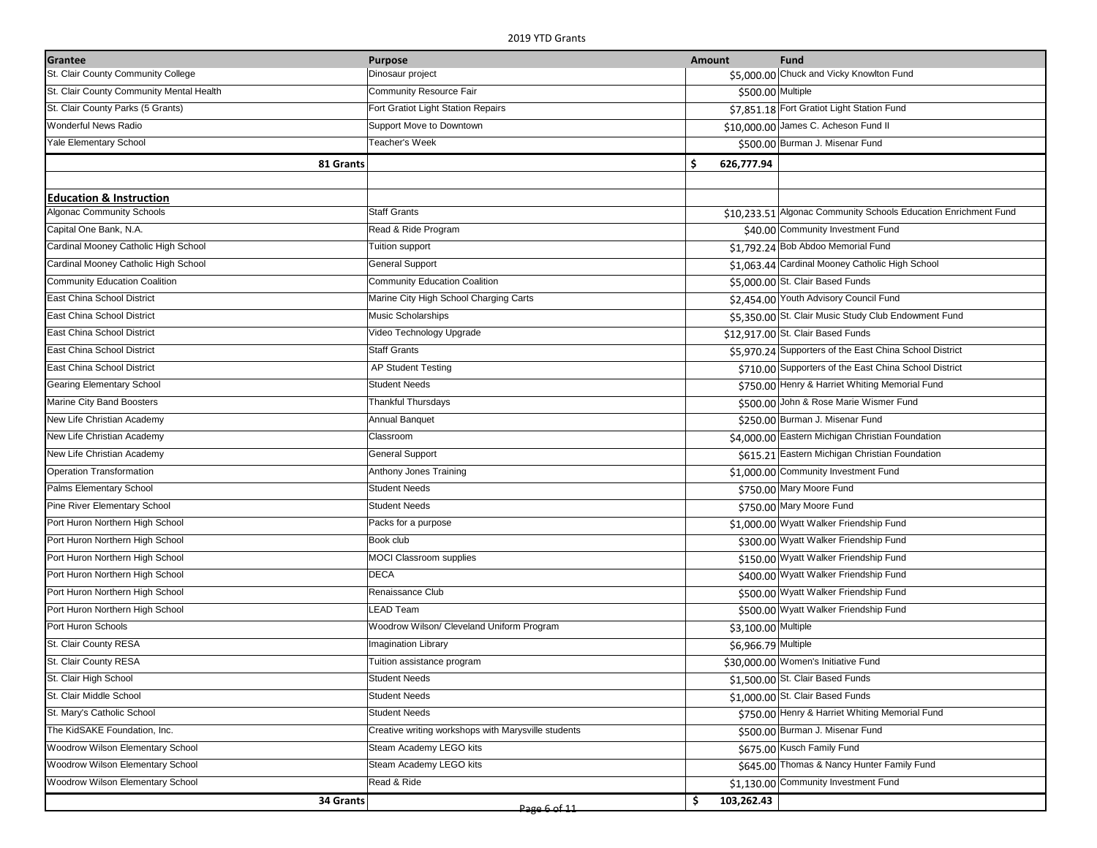| Dinosaur project<br>\$5,000.00 Chuck and Vicky Knowlton Fund<br>Community Resource Fair<br>\$500.00 Multiple<br>Fort Gratiot Light Station Repairs<br>\$7,851.18 Fort Gratiot Light Station Fund<br>\$10,000.00 James C. Acheson Fund II<br>Support Move to Downtown<br>\$500.00 Burman J. Misenar Fund<br>Teacher's Week<br>\$.<br>626,777.94<br>81 Grants<br><b>Staff Grants</b><br>\$10,233.51 Algonac Community Schools Education Enrichment Fund<br>Read & Ride Program<br>\$40.00 Community Investment Fund<br>Tuition support<br>\$1,792.24 Bob Abdoo Memorial Fund<br><b>General Support</b><br>\$1,063.44 Cardinal Mooney Catholic High School<br><b>Community Education Coalition</b><br>\$5,000.00 St. Clair Based Funds<br>\$2,454.00 Youth Advisory Council Fund<br>Marine City High School Charging Carts<br>\$5,350.00 St. Clair Music Study Club Endowment Fund<br>Music Scholarships<br>Video Technology Upgrade<br>\$12,917.00 St. Clair Based Funds<br><b>Staff Grants</b><br>\$5,970.24 Supporters of the East China School District<br>\$710.00 Supporters of the East China School District<br><b>AP Student Testing</b><br><b>Student Needs</b><br>\$750.00 Henry & Harriet Whiting Memorial Fund<br>\$500.00 John & Rose Marie Wismer Fund<br><b>Thankful Thursdays</b><br>\$250.00 Burman J. Misenar Fund<br><b>Annual Banquet</b><br>\$4,000.00 Eastern Michigan Christian Foundation<br>Classroom<br><b>General Support</b><br>\$615.21 Eastern Michigan Christian Foundation<br>Anthony Jones Training<br>\$1,000.00 Community Investment Fund<br><b>Student Needs</b><br>\$750.00 Mary Moore Fund<br><b>Student Needs</b><br>\$750.00 Mary Moore Fund<br>Packs for a purpose<br>\$1,000.00 Wyatt Walker Friendship Fund<br>Book club<br>\$300.00 Wyatt Walker Friendship Fund<br><b>MOCI Classroom supplies</b><br>\$150.00 Wyatt Walker Friendship Fund<br><b>DECA</b><br>\$400.00 Wyatt Walker Friendship Fund<br>Renaissance Club<br>\$500.00 Wyatt Walker Friendship Fund<br>LEAD Team<br>\$500.00 Wyatt Walker Friendship Fund<br>Woodrow Wilson/ Cleveland Uniform Program<br>\$3,100.00 Multiple<br><b>Imagination Library</b><br>\$6,966.79 Multiple<br>\$30,000.00 Women's Initiative Fund<br>Tuition assistance program<br>\$1,500.00 St. Clair Based Funds<br><b>Student Needs</b><br>\$1,000.00 St. Clair Based Funds<br><b>Student Needs</b><br>\$750.00 Henry & Harriet Whiting Memorial Fund<br><b>Student Needs</b><br>Creative writing workshops with Marysville students<br>\$500.00 Burman J. Misenar Fund<br>Steam Academy LEGO kits<br>\$675.00 Kusch Family Fund<br>Steam Academy LEGO kits<br>\$645.00 Thomas & Nancy Hunter Family Fund<br>Read & Ride<br>\$1,130.00 Community Investment Fund<br>103,262.43 | Grantee                                  | <b>Purpose</b> | Amount | <b>Fund</b> |
|-------------------------------------------------------------------------------------------------------------------------------------------------------------------------------------------------------------------------------------------------------------------------------------------------------------------------------------------------------------------------------------------------------------------------------------------------------------------------------------------------------------------------------------------------------------------------------------------------------------------------------------------------------------------------------------------------------------------------------------------------------------------------------------------------------------------------------------------------------------------------------------------------------------------------------------------------------------------------------------------------------------------------------------------------------------------------------------------------------------------------------------------------------------------------------------------------------------------------------------------------------------------------------------------------------------------------------------------------------------------------------------------------------------------------------------------------------------------------------------------------------------------------------------------------------------------------------------------------------------------------------------------------------------------------------------------------------------------------------------------------------------------------------------------------------------------------------------------------------------------------------------------------------------------------------------------------------------------------------------------------------------------------------------------------------------------------------------------------------------------------------------------------------------------------------------------------------------------------------------------------------------------------------------------------------------------------------------------------------------------------------------------------------------------------------------------------------------------------------------------------------------------------------------------------------------------------------------------------------------------------------------------------------------------------------------------------------------------------------------------------------------------|------------------------------------------|----------------|--------|-------------|
|                                                                                                                                                                                                                                                                                                                                                                                                                                                                                                                                                                                                                                                                                                                                                                                                                                                                                                                                                                                                                                                                                                                                                                                                                                                                                                                                                                                                                                                                                                                                                                                                                                                                                                                                                                                                                                                                                                                                                                                                                                                                                                                                                                                                                                                                                                                                                                                                                                                                                                                                                                                                                                                                                                                                                                   | St. Clair County Community College       |                |        |             |
|                                                                                                                                                                                                                                                                                                                                                                                                                                                                                                                                                                                                                                                                                                                                                                                                                                                                                                                                                                                                                                                                                                                                                                                                                                                                                                                                                                                                                                                                                                                                                                                                                                                                                                                                                                                                                                                                                                                                                                                                                                                                                                                                                                                                                                                                                                                                                                                                                                                                                                                                                                                                                                                                                                                                                                   | St. Clair County Community Mental Health |                |        |             |
|                                                                                                                                                                                                                                                                                                                                                                                                                                                                                                                                                                                                                                                                                                                                                                                                                                                                                                                                                                                                                                                                                                                                                                                                                                                                                                                                                                                                                                                                                                                                                                                                                                                                                                                                                                                                                                                                                                                                                                                                                                                                                                                                                                                                                                                                                                                                                                                                                                                                                                                                                                                                                                                                                                                                                                   | St. Clair County Parks (5 Grants)        |                |        |             |
|                                                                                                                                                                                                                                                                                                                                                                                                                                                                                                                                                                                                                                                                                                                                                                                                                                                                                                                                                                                                                                                                                                                                                                                                                                                                                                                                                                                                                                                                                                                                                                                                                                                                                                                                                                                                                                                                                                                                                                                                                                                                                                                                                                                                                                                                                                                                                                                                                                                                                                                                                                                                                                                                                                                                                                   | Wonderful News Radio                     |                |        |             |
|                                                                                                                                                                                                                                                                                                                                                                                                                                                                                                                                                                                                                                                                                                                                                                                                                                                                                                                                                                                                                                                                                                                                                                                                                                                                                                                                                                                                                                                                                                                                                                                                                                                                                                                                                                                                                                                                                                                                                                                                                                                                                                                                                                                                                                                                                                                                                                                                                                                                                                                                                                                                                                                                                                                                                                   | Yale Elementary School                   |                |        |             |
|                                                                                                                                                                                                                                                                                                                                                                                                                                                                                                                                                                                                                                                                                                                                                                                                                                                                                                                                                                                                                                                                                                                                                                                                                                                                                                                                                                                                                                                                                                                                                                                                                                                                                                                                                                                                                                                                                                                                                                                                                                                                                                                                                                                                                                                                                                                                                                                                                                                                                                                                                                                                                                                                                                                                                                   |                                          |                |        |             |
|                                                                                                                                                                                                                                                                                                                                                                                                                                                                                                                                                                                                                                                                                                                                                                                                                                                                                                                                                                                                                                                                                                                                                                                                                                                                                                                                                                                                                                                                                                                                                                                                                                                                                                                                                                                                                                                                                                                                                                                                                                                                                                                                                                                                                                                                                                                                                                                                                                                                                                                                                                                                                                                                                                                                                                   |                                          |                |        |             |
|                                                                                                                                                                                                                                                                                                                                                                                                                                                                                                                                                                                                                                                                                                                                                                                                                                                                                                                                                                                                                                                                                                                                                                                                                                                                                                                                                                                                                                                                                                                                                                                                                                                                                                                                                                                                                                                                                                                                                                                                                                                                                                                                                                                                                                                                                                                                                                                                                                                                                                                                                                                                                                                                                                                                                                   | <b>Education &amp; Instruction</b>       |                |        |             |
|                                                                                                                                                                                                                                                                                                                                                                                                                                                                                                                                                                                                                                                                                                                                                                                                                                                                                                                                                                                                                                                                                                                                                                                                                                                                                                                                                                                                                                                                                                                                                                                                                                                                                                                                                                                                                                                                                                                                                                                                                                                                                                                                                                                                                                                                                                                                                                                                                                                                                                                                                                                                                                                                                                                                                                   | <b>Algonac Community Schools</b>         |                |        |             |
|                                                                                                                                                                                                                                                                                                                                                                                                                                                                                                                                                                                                                                                                                                                                                                                                                                                                                                                                                                                                                                                                                                                                                                                                                                                                                                                                                                                                                                                                                                                                                                                                                                                                                                                                                                                                                                                                                                                                                                                                                                                                                                                                                                                                                                                                                                                                                                                                                                                                                                                                                                                                                                                                                                                                                                   | Capital One Bank, N.A.                   |                |        |             |
|                                                                                                                                                                                                                                                                                                                                                                                                                                                                                                                                                                                                                                                                                                                                                                                                                                                                                                                                                                                                                                                                                                                                                                                                                                                                                                                                                                                                                                                                                                                                                                                                                                                                                                                                                                                                                                                                                                                                                                                                                                                                                                                                                                                                                                                                                                                                                                                                                                                                                                                                                                                                                                                                                                                                                                   | Cardinal Mooney Catholic High School     |                |        |             |
|                                                                                                                                                                                                                                                                                                                                                                                                                                                                                                                                                                                                                                                                                                                                                                                                                                                                                                                                                                                                                                                                                                                                                                                                                                                                                                                                                                                                                                                                                                                                                                                                                                                                                                                                                                                                                                                                                                                                                                                                                                                                                                                                                                                                                                                                                                                                                                                                                                                                                                                                                                                                                                                                                                                                                                   | Cardinal Mooney Catholic High School     |                |        |             |
|                                                                                                                                                                                                                                                                                                                                                                                                                                                                                                                                                                                                                                                                                                                                                                                                                                                                                                                                                                                                                                                                                                                                                                                                                                                                                                                                                                                                                                                                                                                                                                                                                                                                                                                                                                                                                                                                                                                                                                                                                                                                                                                                                                                                                                                                                                                                                                                                                                                                                                                                                                                                                                                                                                                                                                   | <b>Community Education Coalition</b>     |                |        |             |
|                                                                                                                                                                                                                                                                                                                                                                                                                                                                                                                                                                                                                                                                                                                                                                                                                                                                                                                                                                                                                                                                                                                                                                                                                                                                                                                                                                                                                                                                                                                                                                                                                                                                                                                                                                                                                                                                                                                                                                                                                                                                                                                                                                                                                                                                                                                                                                                                                                                                                                                                                                                                                                                                                                                                                                   | East China School District               |                |        |             |
|                                                                                                                                                                                                                                                                                                                                                                                                                                                                                                                                                                                                                                                                                                                                                                                                                                                                                                                                                                                                                                                                                                                                                                                                                                                                                                                                                                                                                                                                                                                                                                                                                                                                                                                                                                                                                                                                                                                                                                                                                                                                                                                                                                                                                                                                                                                                                                                                                                                                                                                                                                                                                                                                                                                                                                   | East China School District               |                |        |             |
|                                                                                                                                                                                                                                                                                                                                                                                                                                                                                                                                                                                                                                                                                                                                                                                                                                                                                                                                                                                                                                                                                                                                                                                                                                                                                                                                                                                                                                                                                                                                                                                                                                                                                                                                                                                                                                                                                                                                                                                                                                                                                                                                                                                                                                                                                                                                                                                                                                                                                                                                                                                                                                                                                                                                                                   | East China School District               |                |        |             |
|                                                                                                                                                                                                                                                                                                                                                                                                                                                                                                                                                                                                                                                                                                                                                                                                                                                                                                                                                                                                                                                                                                                                                                                                                                                                                                                                                                                                                                                                                                                                                                                                                                                                                                                                                                                                                                                                                                                                                                                                                                                                                                                                                                                                                                                                                                                                                                                                                                                                                                                                                                                                                                                                                                                                                                   | East China School District               |                |        |             |
|                                                                                                                                                                                                                                                                                                                                                                                                                                                                                                                                                                                                                                                                                                                                                                                                                                                                                                                                                                                                                                                                                                                                                                                                                                                                                                                                                                                                                                                                                                                                                                                                                                                                                                                                                                                                                                                                                                                                                                                                                                                                                                                                                                                                                                                                                                                                                                                                                                                                                                                                                                                                                                                                                                                                                                   | East China School District               |                |        |             |
|                                                                                                                                                                                                                                                                                                                                                                                                                                                                                                                                                                                                                                                                                                                                                                                                                                                                                                                                                                                                                                                                                                                                                                                                                                                                                                                                                                                                                                                                                                                                                                                                                                                                                                                                                                                                                                                                                                                                                                                                                                                                                                                                                                                                                                                                                                                                                                                                                                                                                                                                                                                                                                                                                                                                                                   | <b>Gearing Elementary School</b>         |                |        |             |
|                                                                                                                                                                                                                                                                                                                                                                                                                                                                                                                                                                                                                                                                                                                                                                                                                                                                                                                                                                                                                                                                                                                                                                                                                                                                                                                                                                                                                                                                                                                                                                                                                                                                                                                                                                                                                                                                                                                                                                                                                                                                                                                                                                                                                                                                                                                                                                                                                                                                                                                                                                                                                                                                                                                                                                   | Marine City Band Boosters                |                |        |             |
|                                                                                                                                                                                                                                                                                                                                                                                                                                                                                                                                                                                                                                                                                                                                                                                                                                                                                                                                                                                                                                                                                                                                                                                                                                                                                                                                                                                                                                                                                                                                                                                                                                                                                                                                                                                                                                                                                                                                                                                                                                                                                                                                                                                                                                                                                                                                                                                                                                                                                                                                                                                                                                                                                                                                                                   | New Life Christian Academy               |                |        |             |
|                                                                                                                                                                                                                                                                                                                                                                                                                                                                                                                                                                                                                                                                                                                                                                                                                                                                                                                                                                                                                                                                                                                                                                                                                                                                                                                                                                                                                                                                                                                                                                                                                                                                                                                                                                                                                                                                                                                                                                                                                                                                                                                                                                                                                                                                                                                                                                                                                                                                                                                                                                                                                                                                                                                                                                   | New Life Christian Academy               |                |        |             |
|                                                                                                                                                                                                                                                                                                                                                                                                                                                                                                                                                                                                                                                                                                                                                                                                                                                                                                                                                                                                                                                                                                                                                                                                                                                                                                                                                                                                                                                                                                                                                                                                                                                                                                                                                                                                                                                                                                                                                                                                                                                                                                                                                                                                                                                                                                                                                                                                                                                                                                                                                                                                                                                                                                                                                                   | New Life Christian Academy               |                |        |             |
|                                                                                                                                                                                                                                                                                                                                                                                                                                                                                                                                                                                                                                                                                                                                                                                                                                                                                                                                                                                                                                                                                                                                                                                                                                                                                                                                                                                                                                                                                                                                                                                                                                                                                                                                                                                                                                                                                                                                                                                                                                                                                                                                                                                                                                                                                                                                                                                                                                                                                                                                                                                                                                                                                                                                                                   | Operation Transformation                 |                |        |             |
|                                                                                                                                                                                                                                                                                                                                                                                                                                                                                                                                                                                                                                                                                                                                                                                                                                                                                                                                                                                                                                                                                                                                                                                                                                                                                                                                                                                                                                                                                                                                                                                                                                                                                                                                                                                                                                                                                                                                                                                                                                                                                                                                                                                                                                                                                                                                                                                                                                                                                                                                                                                                                                                                                                                                                                   | Palms Elementary School                  |                |        |             |
|                                                                                                                                                                                                                                                                                                                                                                                                                                                                                                                                                                                                                                                                                                                                                                                                                                                                                                                                                                                                                                                                                                                                                                                                                                                                                                                                                                                                                                                                                                                                                                                                                                                                                                                                                                                                                                                                                                                                                                                                                                                                                                                                                                                                                                                                                                                                                                                                                                                                                                                                                                                                                                                                                                                                                                   | Pine River Elementary School             |                |        |             |
|                                                                                                                                                                                                                                                                                                                                                                                                                                                                                                                                                                                                                                                                                                                                                                                                                                                                                                                                                                                                                                                                                                                                                                                                                                                                                                                                                                                                                                                                                                                                                                                                                                                                                                                                                                                                                                                                                                                                                                                                                                                                                                                                                                                                                                                                                                                                                                                                                                                                                                                                                                                                                                                                                                                                                                   | Port Huron Northern High School          |                |        |             |
|                                                                                                                                                                                                                                                                                                                                                                                                                                                                                                                                                                                                                                                                                                                                                                                                                                                                                                                                                                                                                                                                                                                                                                                                                                                                                                                                                                                                                                                                                                                                                                                                                                                                                                                                                                                                                                                                                                                                                                                                                                                                                                                                                                                                                                                                                                                                                                                                                                                                                                                                                                                                                                                                                                                                                                   | Port Huron Northern High School          |                |        |             |
|                                                                                                                                                                                                                                                                                                                                                                                                                                                                                                                                                                                                                                                                                                                                                                                                                                                                                                                                                                                                                                                                                                                                                                                                                                                                                                                                                                                                                                                                                                                                                                                                                                                                                                                                                                                                                                                                                                                                                                                                                                                                                                                                                                                                                                                                                                                                                                                                                                                                                                                                                                                                                                                                                                                                                                   | Port Huron Northern High School          |                |        |             |
|                                                                                                                                                                                                                                                                                                                                                                                                                                                                                                                                                                                                                                                                                                                                                                                                                                                                                                                                                                                                                                                                                                                                                                                                                                                                                                                                                                                                                                                                                                                                                                                                                                                                                                                                                                                                                                                                                                                                                                                                                                                                                                                                                                                                                                                                                                                                                                                                                                                                                                                                                                                                                                                                                                                                                                   | Port Huron Northern High School          |                |        |             |
|                                                                                                                                                                                                                                                                                                                                                                                                                                                                                                                                                                                                                                                                                                                                                                                                                                                                                                                                                                                                                                                                                                                                                                                                                                                                                                                                                                                                                                                                                                                                                                                                                                                                                                                                                                                                                                                                                                                                                                                                                                                                                                                                                                                                                                                                                                                                                                                                                                                                                                                                                                                                                                                                                                                                                                   | Port Huron Northern High School          |                |        |             |
|                                                                                                                                                                                                                                                                                                                                                                                                                                                                                                                                                                                                                                                                                                                                                                                                                                                                                                                                                                                                                                                                                                                                                                                                                                                                                                                                                                                                                                                                                                                                                                                                                                                                                                                                                                                                                                                                                                                                                                                                                                                                                                                                                                                                                                                                                                                                                                                                                                                                                                                                                                                                                                                                                                                                                                   | Port Huron Northern High School          |                |        |             |
|                                                                                                                                                                                                                                                                                                                                                                                                                                                                                                                                                                                                                                                                                                                                                                                                                                                                                                                                                                                                                                                                                                                                                                                                                                                                                                                                                                                                                                                                                                                                                                                                                                                                                                                                                                                                                                                                                                                                                                                                                                                                                                                                                                                                                                                                                                                                                                                                                                                                                                                                                                                                                                                                                                                                                                   | Port Huron Schools                       |                |        |             |
|                                                                                                                                                                                                                                                                                                                                                                                                                                                                                                                                                                                                                                                                                                                                                                                                                                                                                                                                                                                                                                                                                                                                                                                                                                                                                                                                                                                                                                                                                                                                                                                                                                                                                                                                                                                                                                                                                                                                                                                                                                                                                                                                                                                                                                                                                                                                                                                                                                                                                                                                                                                                                                                                                                                                                                   | St. Clair County RESA                    |                |        |             |
|                                                                                                                                                                                                                                                                                                                                                                                                                                                                                                                                                                                                                                                                                                                                                                                                                                                                                                                                                                                                                                                                                                                                                                                                                                                                                                                                                                                                                                                                                                                                                                                                                                                                                                                                                                                                                                                                                                                                                                                                                                                                                                                                                                                                                                                                                                                                                                                                                                                                                                                                                                                                                                                                                                                                                                   | St. Clair County RESA                    |                |        |             |
|                                                                                                                                                                                                                                                                                                                                                                                                                                                                                                                                                                                                                                                                                                                                                                                                                                                                                                                                                                                                                                                                                                                                                                                                                                                                                                                                                                                                                                                                                                                                                                                                                                                                                                                                                                                                                                                                                                                                                                                                                                                                                                                                                                                                                                                                                                                                                                                                                                                                                                                                                                                                                                                                                                                                                                   | St. Clair High School                    |                |        |             |
|                                                                                                                                                                                                                                                                                                                                                                                                                                                                                                                                                                                                                                                                                                                                                                                                                                                                                                                                                                                                                                                                                                                                                                                                                                                                                                                                                                                                                                                                                                                                                                                                                                                                                                                                                                                                                                                                                                                                                                                                                                                                                                                                                                                                                                                                                                                                                                                                                                                                                                                                                                                                                                                                                                                                                                   | St. Clair Middle School                  |                |        |             |
|                                                                                                                                                                                                                                                                                                                                                                                                                                                                                                                                                                                                                                                                                                                                                                                                                                                                                                                                                                                                                                                                                                                                                                                                                                                                                                                                                                                                                                                                                                                                                                                                                                                                                                                                                                                                                                                                                                                                                                                                                                                                                                                                                                                                                                                                                                                                                                                                                                                                                                                                                                                                                                                                                                                                                                   | St. Mary's Catholic School               |                |        |             |
|                                                                                                                                                                                                                                                                                                                                                                                                                                                                                                                                                                                                                                                                                                                                                                                                                                                                                                                                                                                                                                                                                                                                                                                                                                                                                                                                                                                                                                                                                                                                                                                                                                                                                                                                                                                                                                                                                                                                                                                                                                                                                                                                                                                                                                                                                                                                                                                                                                                                                                                                                                                                                                                                                                                                                                   | The KidSAKE Foundation, Inc.             |                |        |             |
|                                                                                                                                                                                                                                                                                                                                                                                                                                                                                                                                                                                                                                                                                                                                                                                                                                                                                                                                                                                                                                                                                                                                                                                                                                                                                                                                                                                                                                                                                                                                                                                                                                                                                                                                                                                                                                                                                                                                                                                                                                                                                                                                                                                                                                                                                                                                                                                                                                                                                                                                                                                                                                                                                                                                                                   | Woodrow Wilson Elementary School         |                |        |             |
|                                                                                                                                                                                                                                                                                                                                                                                                                                                                                                                                                                                                                                                                                                                                                                                                                                                                                                                                                                                                                                                                                                                                                                                                                                                                                                                                                                                                                                                                                                                                                                                                                                                                                                                                                                                                                                                                                                                                                                                                                                                                                                                                                                                                                                                                                                                                                                                                                                                                                                                                                                                                                                                                                                                                                                   | Woodrow Wilson Elementary School         |                |        |             |
|                                                                                                                                                                                                                                                                                                                                                                                                                                                                                                                                                                                                                                                                                                                                                                                                                                                                                                                                                                                                                                                                                                                                                                                                                                                                                                                                                                                                                                                                                                                                                                                                                                                                                                                                                                                                                                                                                                                                                                                                                                                                                                                                                                                                                                                                                                                                                                                                                                                                                                                                                                                                                                                                                                                                                                   | Woodrow Wilson Elementary School         |                |        |             |
|                                                                                                                                                                                                                                                                                                                                                                                                                                                                                                                                                                                                                                                                                                                                                                                                                                                                                                                                                                                                                                                                                                                                                                                                                                                                                                                                                                                                                                                                                                                                                                                                                                                                                                                                                                                                                                                                                                                                                                                                                                                                                                                                                                                                                                                                                                                                                                                                                                                                                                                                                                                                                                                                                                                                                                   | 34 Grants                                | Page 6 of 11   | \$     |             |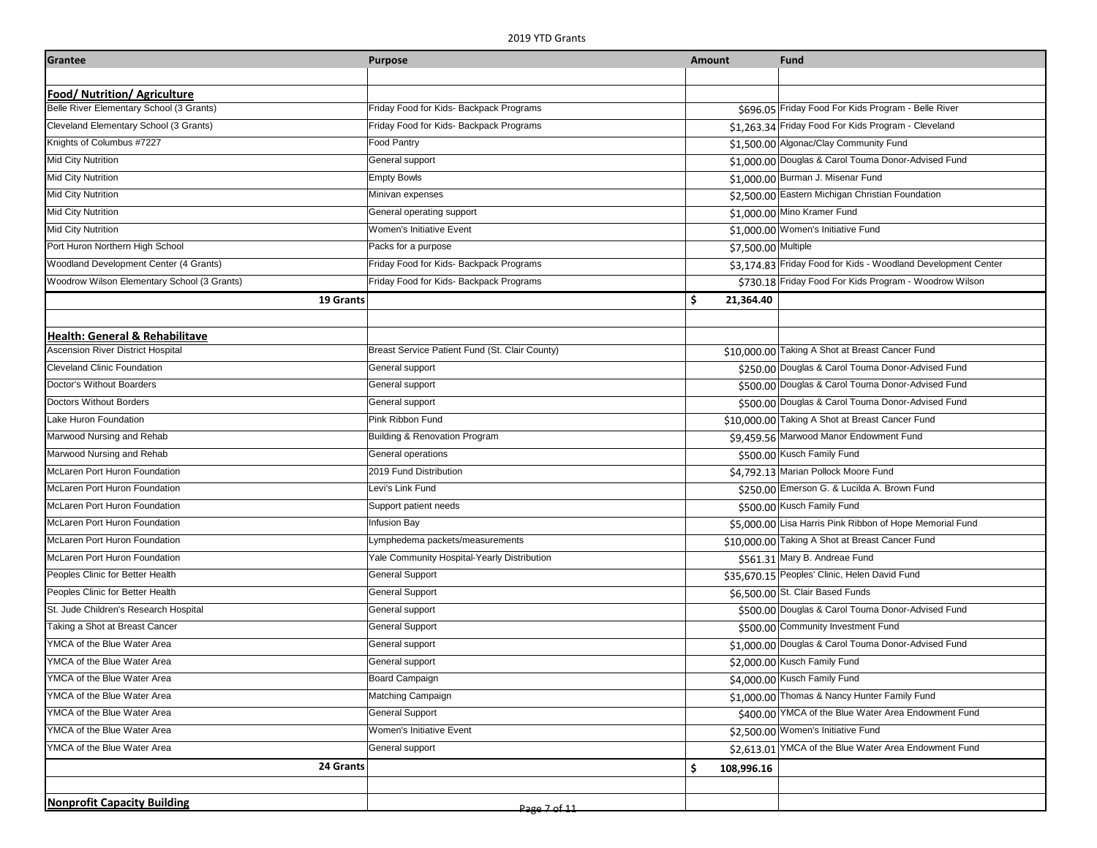| Grantee                                     | <b>Purpose</b>                                 | <b>Amount</b>       | <b>Fund</b>                                                   |
|---------------------------------------------|------------------------------------------------|---------------------|---------------------------------------------------------------|
|                                             |                                                |                     |                                                               |
| Food/ Nutrition/ Agriculture                |                                                |                     |                                                               |
| Belle River Elementary School (3 Grants)    | Friday Food for Kids- Backpack Programs        |                     | \$696.05 Friday Food For Kids Program - Belle River           |
| Cleveland Elementary School (3 Grants)      | Friday Food for Kids- Backpack Programs        |                     | \$1,263.34 Friday Food For Kids Program - Cleveland           |
| Knights of Columbus #7227                   | <b>Food Pantry</b>                             |                     | \$1,500.00 Algonac/Clay Community Fund                        |
| Mid City Nutrition                          | General support                                |                     | \$1,000.00 Douglas & Carol Touma Donor-Advised Fund           |
| Mid City Nutrition                          | <b>Empty Bowls</b>                             |                     | \$1,000.00 Burman J. Misenar Fund                             |
| Mid City Nutrition                          | Minivan expenses                               |                     | \$2,500.00 Eastern Michigan Christian Foundation              |
| Mid City Nutrition                          | General operating support                      |                     | \$1,000.00 Mino Kramer Fund                                   |
| <b>Mid City Nutrition</b>                   | Women's Initiative Event                       |                     | \$1,000.00 Women's Initiative Fund                            |
| Port Huron Northern High School             | Packs for a purpose                            | \$7,500.00 Multiple |                                                               |
| Woodland Development Center (4 Grants)      | Friday Food for Kids- Backpack Programs        |                     | \$3,174.83 Friday Food for Kids - Woodland Development Center |
| Woodrow Wilson Elementary School (3 Grants) | Friday Food for Kids- Backpack Programs        |                     | \$730.18 Friday Food For Kids Program - Woodrow Wilson        |
| 19 Grants                                   |                                                | \$<br>21,364.40     |                                                               |
|                                             |                                                |                     |                                                               |
| Health: General & Rehabilitave              |                                                |                     |                                                               |
| <b>Ascension River District Hospital</b>    | Breast Service Patient Fund (St. Clair County) |                     | \$10,000.00 Taking A Shot at Breast Cancer Fund               |
| <b>Cleveland Clinic Foundation</b>          | General support                                |                     | \$250.00 Douglas & Carol Touma Donor-Advised Fund             |
| Doctor's Without Boarders                   | General support                                |                     | \$500.00 Douglas & Carol Touma Donor-Advised Fund             |
| Doctors Without Borders                     | General support                                |                     | \$500.00 Douglas & Carol Touma Donor-Advised Fund             |
| Lake Huron Foundation                       | Pink Ribbon Fund                               |                     | \$10,000.00 Taking A Shot at Breast Cancer Fund               |
| Marwood Nursing and Rehab                   | Building & Renovation Program                  |                     | \$9,459.56 Marwood Manor Endowment Fund                       |
| Marwood Nursing and Rehab                   | General operations                             |                     | \$500.00 Kusch Family Fund                                    |
| McLaren Port Huron Foundation               | 2019 Fund Distribution                         |                     | \$4,792.13 Marian Pollock Moore Fund                          |
| McLaren Port Huron Foundation               | Levi's Link Fund                               |                     | \$250.00 Emerson G. & Lucilda A. Brown Fund                   |
| McLaren Port Huron Foundation               | Support patient needs                          |                     | \$500.00 Kusch Family Fund                                    |
| McLaren Port Huron Foundation               | <b>Infusion Bay</b>                            |                     | \$5,000.00 Lisa Harris Pink Ribbon of Hope Memorial Fund      |
| McLaren Port Huron Foundation               | Lymphedema packets/measurements                |                     | \$10,000.00 Taking A Shot at Breast Cancer Fund               |
| McLaren Port Huron Foundation               | Yale Community Hospital-Yearly Distribution    |                     | \$561.31 Mary B. Andreae Fund                                 |
| Peoples Clinic for Better Health            | <b>General Support</b>                         |                     | \$35,670.15 Peoples' Clinic, Helen David Fund                 |
| Peoples Clinic for Better Health            | <b>General Support</b>                         |                     | \$6,500.00 St. Clair Based Funds                              |
| St. Jude Children's Research Hospital       | General support                                |                     | \$500.00 Douglas & Carol Touma Donor-Advised Fund             |
| Taking a Shot at Breast Cancer              | <b>General Support</b>                         |                     | \$500.00 Community Investment Fund                            |
| YMCA of the Blue Water Area                 | General support                                |                     | \$1,000.00 Douglas & Carol Touma Donor-Advised Fund           |
| YMCA of the Blue Water Area                 | General support                                |                     | \$2,000.00 Kusch Family Fund                                  |
| YMCA of the Blue Water Area                 | Board Campaign                                 |                     | \$4,000.00 Kusch Family Fund                                  |
| YMCA of the Blue Water Area                 | Matching Campaign                              |                     | \$1,000.00 Thomas & Nancy Hunter Family Fund                  |
| YMCA of the Blue Water Area                 | <b>General Support</b>                         |                     | \$400.00 YMCA of the Blue Water Area Endowment Fund           |
| YMCA of the Blue Water Area                 | Women's Initiative Event                       |                     | \$2,500.00 Women's Initiative Fund                            |
| YMCA of the Blue Water Area                 | General support                                |                     | \$2,613.01 YMCA of the Blue Water Area Endowment Fund         |
| 24 Grants                                   |                                                | \$<br>108,996.16    |                                                               |
|                                             |                                                |                     |                                                               |
| <b>Nonprofit Capacity Building</b>          | Page 7 of 11                                   |                     |                                                               |
|                                             |                                                |                     |                                                               |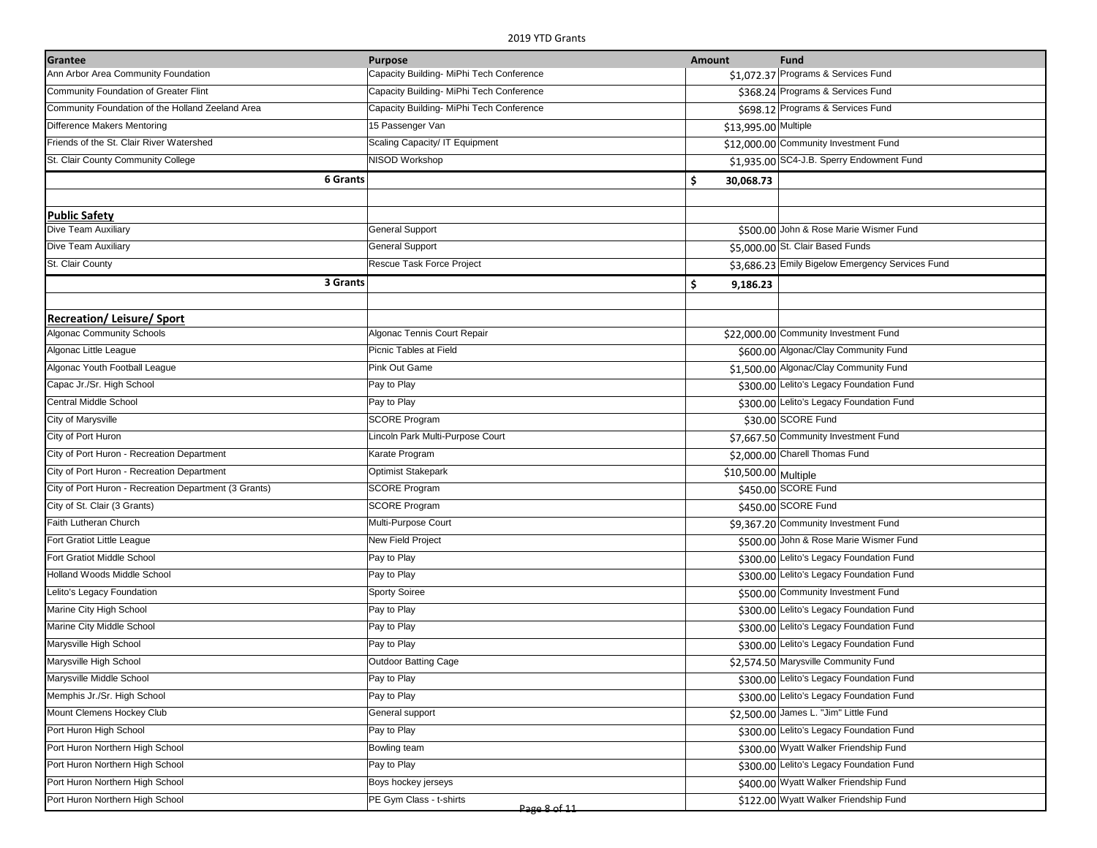| Grantee                                               | <b>Purpose</b>                           | <b>Amount</b>        | Fund                                             |
|-------------------------------------------------------|------------------------------------------|----------------------|--------------------------------------------------|
| Ann Arbor Area Community Foundation                   | Capacity Building- MiPhi Tech Conference |                      | \$1,072.37 Programs & Services Fund              |
| Community Foundation of Greater Flint                 | Capacity Building- MiPhi Tech Conference |                      | \$368.24 Programs & Services Fund                |
| Community Foundation of the Holland Zeeland Area      | Capacity Building- MiPhi Tech Conference |                      | \$698.12 Programs & Services Fund                |
| Difference Makers Mentoring                           | 15 Passenger Van                         | \$13,995.00 Multiple |                                                  |
| Friends of the St. Clair River Watershed              | Scaling Capacity/ IT Equipment           |                      | \$12,000.00 Community Investment Fund            |
| St. Clair County Community College                    | NISOD Workshop                           |                      | \$1,935.00 SC4-J.B. Sperry Endowment Fund        |
| <b>6 Grants</b>                                       |                                          | \$<br>30,068.73      |                                                  |
|                                                       |                                          |                      |                                                  |
| <b>Public Safety</b>                                  |                                          |                      |                                                  |
| Dive Team Auxiliary                                   | <b>General Support</b>                   |                      | \$500.00 John & Rose Marie Wismer Fund           |
| Dive Team Auxiliary                                   | <b>General Support</b>                   |                      | \$5,000.00 St. Clair Based Funds                 |
| St. Clair County                                      | Rescue Task Force Project                |                      | \$3,686.23 Emily Bigelow Emergency Services Fund |
| 3 Grants                                              |                                          | \$<br>9,186.23       |                                                  |
|                                                       |                                          |                      |                                                  |
| <b>Recreation/Leisure/Sport</b>                       |                                          |                      |                                                  |
| <b>Algonac Community Schools</b>                      | Algonac Tennis Court Repair              |                      | \$22,000.00 Community Investment Fund            |
| Algonac Little League                                 | Picnic Tables at Field                   |                      | \$600.00 Algonac/Clay Community Fund             |
| Algonac Youth Football League                         | Pink Out Game                            |                      | \$1,500.00 Algonac/Clay Community Fund           |
| Capac Jr./Sr. High School                             | Pay to Play                              |                      | \$300.00 Lelito's Legacy Foundation Fund         |
| Central Middle School                                 | Pay to Play                              |                      | \$300.00 Lelito's Legacy Foundation Fund         |
| City of Marysville                                    | <b>SCORE Program</b>                     |                      | \$30.00 SCORE Fund                               |
| City of Port Huron                                    | Lincoln Park Multi-Purpose Court         |                      | \$7,667.50 Community Investment Fund             |
| City of Port Huron - Recreation Department            | Karate Program                           |                      | \$2,000.00 Charell Thomas Fund                   |
| City of Port Huron - Recreation Department            | <b>Optimist Stakepark</b>                | \$10,500.00 Multiple |                                                  |
| City of Port Huron - Recreation Department (3 Grants) | <b>SCORE Program</b>                     |                      | \$450.00 SCORE Fund                              |
| City of St. Clair (3 Grants)                          | <b>SCORE Program</b>                     |                      | \$450.00 SCORE Fund                              |
| Faith Lutheran Church                                 | Multi-Purpose Court                      |                      | \$9,367.20 Community Investment Fund             |
| Fort Gratiot Little League                            | New Field Project                        |                      | \$500.00 John & Rose Marie Wismer Fund           |
| Fort Gratiot Middle School                            | Pay to Play                              |                      | \$300.00 Lelito's Legacy Foundation Fund         |
| Holland Woods Middle School                           | Pay to Play                              |                      | \$300.00 Lelito's Legacy Foundation Fund         |
| Lelito's Legacy Foundation                            | <b>Sporty Soiree</b>                     |                      | \$500.00 Community Investment Fund               |
| Marine City High School                               | Pay to Play                              |                      | \$300.00 Lelito's Legacy Foundation Fund         |
| Marine City Middle School                             | Pay to Play                              |                      | \$300.00 Lelito's Legacy Foundation Fund         |
| Marysville High School                                | Pay to Play                              |                      | \$300.00 Lelito's Legacy Foundation Fund         |
| Marysville High School                                | <b>Outdoor Batting Cage</b>              |                      | \$2,574.50 Marysville Community Fund             |
| Marysville Middle School                              | Pay to Play                              |                      | \$300.00 Lelito's Legacy Foundation Fund         |
| Memphis Jr./Sr. High School                           | Pay to Play                              |                      | \$300.00 Lelito's Legacy Foundation Fund         |
| Mount Clemens Hockey Club                             | General support                          |                      | \$2,500.00 James L. "Jim" Little Fund            |
| Port Huron High School                                | Pay to Play                              |                      | \$300.00 Lelito's Legacy Foundation Fund         |
| Port Huron Northern High School                       | Bowling team                             |                      | \$300.00 Wyatt Walker Friendship Fund            |
| Port Huron Northern High School                       | Pay to Play                              |                      | \$300.00 Lelito's Legacy Foundation Fund         |
| Port Huron Northern High School                       | Boys hockey jerseys                      |                      | \$400.00 Wyatt Walker Friendship Fund            |
| Port Huron Northern High School                       | PE Gym Class - t-shirts<br>Page 8 of 11  |                      | \$122.00 Wyatt Walker Friendship Fund            |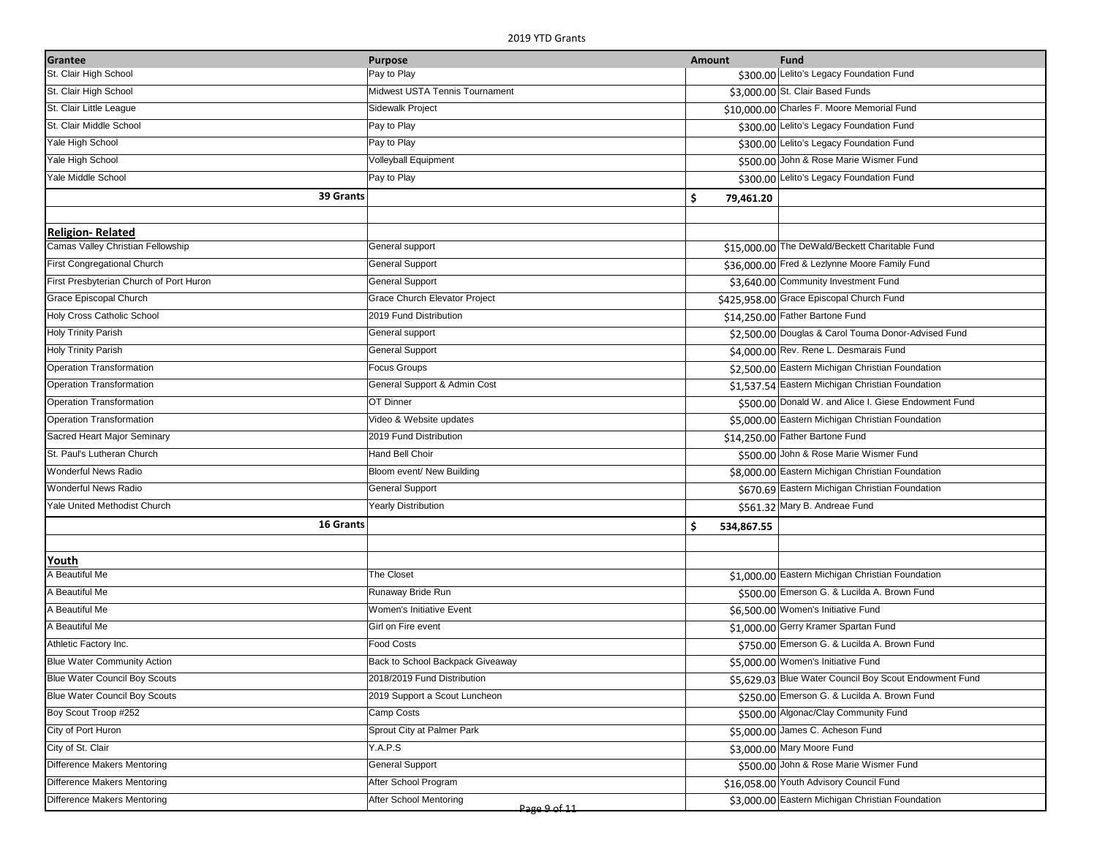| Grantee                                 | <b>Purpose</b>                         | Amount          | <b>Fund</b>                                            |
|-----------------------------------------|----------------------------------------|-----------------|--------------------------------------------------------|
| St. Clair High School                   | Pay to Play                            |                 | \$300.00 Lelito's Legacy Foundation Fund               |
| St. Clair High School                   | Midwest USTA Tennis Tournament         |                 | \$3,000.00 St. Clair Based Funds                       |
| St. Clair Little League                 | Sidewalk Project                       |                 | \$10,000.00 Charles F. Moore Memorial Fund             |
| St. Clair Middle School                 | Pay to Play                            |                 | \$300.00 Lelito's Legacy Foundation Fund               |
| Yale High School                        | Pay to Play                            |                 | \$300.00 Lelito's Legacy Foundation Fund               |
| Yale High School                        | Volleyball Equipment                   |                 | \$500.00 John & Rose Marie Wismer Fund                 |
| Yale Middle School                      | Pay to Play                            |                 | \$300.00 Lelito's Legacy Foundation Fund               |
| 39 Grants                               |                                        | \$<br>79,461.20 |                                                        |
|                                         |                                        |                 |                                                        |
| <b>Religion-Related</b>                 |                                        |                 |                                                        |
| Camas Valley Christian Fellowship       | General support                        |                 | \$15,000.00 The DeWald/Beckett Charitable Fund         |
| First Congregational Church             | <b>General Support</b>                 |                 | \$36,000.00 Fred & Lezlynne Moore Family Fund          |
| First Presbyterian Church of Port Huron | <b>General Support</b>                 |                 | \$3,640.00 Community Investment Fund                   |
| Grace Episcopal Church                  | Grace Church Elevator Project          |                 | \$425,958.00 Grace Episcopal Church Fund               |
| Holy Cross Catholic School              | 2019 Fund Distribution                 |                 | \$14,250.00 Father Bartone Fund                        |
| <b>Holy Trinity Parish</b>              | General support                        |                 | \$2,500.00 Douglas & Carol Touma Donor-Advised Fund    |
| <b>Holy Trinity Parish</b>              | <b>General Support</b>                 |                 | \$4,000.00 Rev. Rene L. Desmarais Fund                 |
| <b>Operation Transformation</b>         | Focus Groups                           |                 | \$2,500.00 Eastern Michigan Christian Foundation       |
| <b>Operation Transformation</b>         | General Support & Admin Cost           |                 | \$1,537.54 Eastern Michigan Christian Foundation       |
| <b>Operation Transformation</b>         | OT Dinner                              |                 | \$500.00 Donald W. and Alice I. Giese Endowment Fund   |
| <b>Operation Transformation</b>         | Video & Website updates                |                 | \$5,000.00 Eastern Michigan Christian Foundation       |
| Sacred Heart Major Seminary             | 2019 Fund Distribution                 |                 | \$14,250.00 Father Bartone Fund                        |
| St. Paul's Lutheran Church              | <b>Hand Bell Choir</b>                 |                 | \$500.00 John & Rose Marie Wismer Fund                 |
| Wonderful News Radio                    | Bloom event/ New Building              |                 | \$8,000.00 Eastern Michigan Christian Foundation       |
| Wonderful News Radio                    | <b>General Support</b>                 |                 | \$670.69 Eastern Michigan Christian Foundation         |
| Yale United Methodist Church            | <b>Yearly Distribution</b>             |                 | \$561.32 Mary B. Andreae Fund                          |
| 16 Grants                               |                                        | Ś<br>534,867.55 |                                                        |
|                                         |                                        |                 |                                                        |
| Youth                                   |                                        |                 |                                                        |
| A Beautiful Me                          | The Closet                             |                 | \$1,000.00 Eastern Michigan Christian Foundation       |
| A Beautiful Me                          | Runaway Bride Run                      |                 | \$500.00 Emerson G. & Lucilda A. Brown Fund            |
| A Beautiful Me                          | Women's Initiative Event               |                 | \$6,500.00 Women's Initiative Fund                     |
| A Beautiful Me                          | Girl on Fire event                     |                 | \$1,000.00 Gerry Kramer Spartan Fund                   |
| Athletic Factory Inc.                   | <b>Food Costs</b>                      |                 | \$750.00 Emerson G. & Lucilda A. Brown Fund            |
| <b>Blue Water Community Action</b>      | Back to School Backpack Giveaway       |                 | \$5,000.00 Women's Initiative Fund                     |
| Blue Water Council Boy Scouts           | 2018/2019 Fund Distribution            |                 | \$5,629.03 Blue Water Council Boy Scout Endowment Fund |
| Blue Water Council Boy Scouts           | 2019 Support a Scout Luncheon          |                 | \$250.00 Emerson G. & Lucilda A. Brown Fund            |
| Boy Scout Troop #252                    | Camp Costs                             |                 | \$500.00 Algonac/Clay Community Fund                   |
| City of Port Huron                      | Sprout City at Palmer Park             |                 | \$5,000.00 James C. Acheson Fund                       |
| City of St. Clair                       | Y.A.P.S                                |                 | \$3,000.00 Mary Moore Fund                             |
| Difference Makers Mentoring             | <b>General Support</b>                 |                 | \$500.00 John & Rose Marie Wismer Fund                 |
| Difference Makers Mentoring             | After School Program                   |                 | \$16,058.00 Youth Advisory Council Fund                |
| Difference Makers Mentoring             | After School Mentoring<br>Page 9 of 11 |                 | \$3,000.00 Eastern Michigan Christian Foundation       |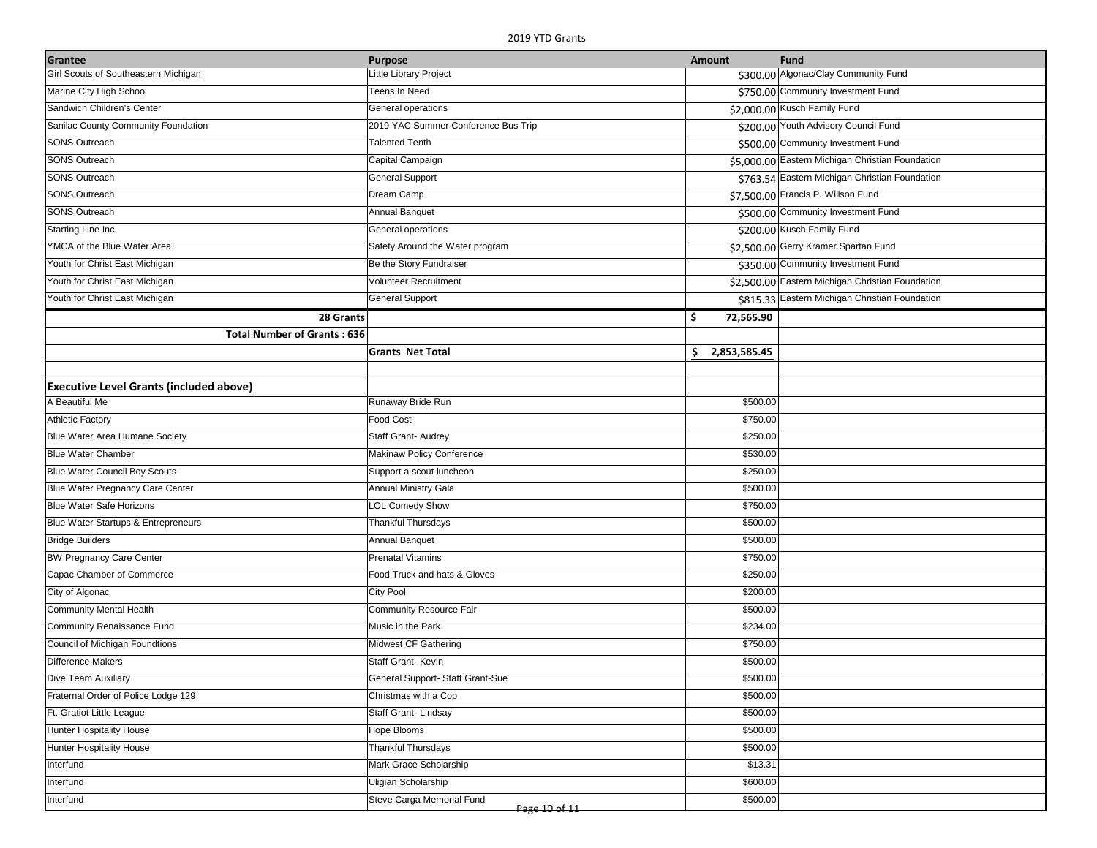| Little Library Project<br>\$300.00 Algonac/Clay Community Fund<br>Girl Scouts of Southeastern Michigan<br>Marine City High School<br>Teens In Need<br>\$750.00 Community Investment Fund<br>Sandwich Children's Center<br>General operations<br>\$2,000.00 Kusch Family Fund<br>Sanilac County Community Foundation<br>2019 YAC Summer Conference Bus Trip<br>\$200.00 Youth Advisory Council Fund<br><b>SONS Outreach</b><br><b>Talented Tenth</b><br>\$500.00 Community Investment Fund<br><b>SONS Outreach</b><br>Capital Campaign<br>\$5,000.00 Eastern Michigan Christian Foundation<br><b>SONS Outreach</b><br><b>General Support</b><br>\$763.54 Eastern Michigan Christian Foundation<br><b>SONS Outreach</b><br>\$7,500.00 Francis P. Willson Fund<br>Dream Camp<br><b>SONS Outreach</b><br>Annual Banquet<br>\$500.00 Community Investment Fund<br>Starting Line Inc.<br>\$200.00 Kusch Family Fund<br>General operations<br>YMCA of the Blue Water Area<br>Safety Around the Water program<br>\$2,500.00 Gerry Kramer Spartan Fund<br>Be the Story Fundraiser<br>\$350.00 Community Investment Fund<br>Youth for Christ East Michigan<br>Volunteer Recruitment<br>\$2,500.00 Eastern Michigan Christian Foundation<br>Youth for Christ East Michigan<br>\$815.33 Eastern Michigan Christian Foundation<br>Youth for Christ East Michigan<br><b>General Support</b><br>\$<br>28 Grants<br>72,565.90<br><b>Total Number of Grants: 636</b><br>\$2,853,585.45<br><b>Grants Net Total</b><br><b>Executive Level Grants (included above)</b><br>A Beautiful Me<br>Runaway Bride Run<br>\$500.00<br><b>Athletic Factory</b><br><b>Food Cost</b><br>\$750.00<br>Blue Water Area Humane Society<br>Staff Grant- Audrey<br>\$250.00<br><b>Blue Water Chamber</b><br><b>Makinaw Policy Conference</b><br>\$530.00<br><b>Blue Water Council Boy Scouts</b><br>\$250.00<br>Support a scout luncheon<br>Blue Water Pregnancy Care Center<br>Annual Ministry Gala<br>\$500.00<br>\$750.00<br><b>Blue Water Safe Horizons</b><br><b>LOL Comedy Show</b><br><b>Thankful Thursdays</b><br>\$500.00<br>Blue Water Startups & Entrepreneurs<br><b>Annual Banquet</b><br>\$500.00<br><b>Bridge Builders</b><br><b>BW Pregnancy Care Center</b><br><b>Prenatal Vitamins</b><br>\$750.00<br>Capac Chamber of Commerce<br>\$250.00<br>Food Truck and hats & Gloves<br>City of Algonac<br><b>City Pool</b><br>\$200.00<br>\$500.00<br>Community Mental Health<br>Community Resource Fair<br>\$234.00<br>Community Renaissance Fund<br>Music in the Park<br>Council of Michigan Foundtions<br>Midwest CF Gathering<br>\$750.00<br><b>Difference Makers</b><br>Staff Grant-Kevin<br>\$500.00<br>General Support- Staff Grant-Sue<br>\$500.00<br>Dive Team Auxiliary<br>Fraternal Order of Police Lodge 129<br>Christmas with a Cop<br>\$500.00<br>Ft. Gratiot Little League<br>Staff Grant-Lindsay<br>\$500.00<br>\$500.00<br><b>Hunter Hospitality House</b><br>Hope Blooms<br><b>Thankful Thursdays</b><br>\$500.00<br><b>Hunter Hospitality House</b><br>Interfund<br>Mark Grace Scholarship<br>\$13.31<br>Interfund<br>Uligian Scholarship<br>\$600.00<br>Interfund<br>Steve Carga Memorial Fund<br>\$500.00 | Grantee | <b>Purpose</b> | Amount | <b>Fund</b> |
|---------------------------------------------------------------------------------------------------------------------------------------------------------------------------------------------------------------------------------------------------------------------------------------------------------------------------------------------------------------------------------------------------------------------------------------------------------------------------------------------------------------------------------------------------------------------------------------------------------------------------------------------------------------------------------------------------------------------------------------------------------------------------------------------------------------------------------------------------------------------------------------------------------------------------------------------------------------------------------------------------------------------------------------------------------------------------------------------------------------------------------------------------------------------------------------------------------------------------------------------------------------------------------------------------------------------------------------------------------------------------------------------------------------------------------------------------------------------------------------------------------------------------------------------------------------------------------------------------------------------------------------------------------------------------------------------------------------------------------------------------------------------------------------------------------------------------------------------------------------------------------------------------------------------------------------------------------------------------------------------------------------------------------------------------------------------------------------------------------------------------------------------------------------------------------------------------------------------------------------------------------------------------------------------------------------------------------------------------------------------------------------------------------------------------------------------------------------------------------------------------------------------------------------------------------------------------------------------------------------------------------------------------------------------------------------------------------------------------------------------------------------------------------------------------------------------------------------------------------------------------------------------------------------------------------------------------------------------------------------------------------------------------------------------------------------------------------------------------------------------------------------------------------------------------------------------------|---------|----------------|--------|-------------|
|                                                                                                                                                                                                                                                                                                                                                                                                                                                                                                                                                                                                                                                                                                                                                                                                                                                                                                                                                                                                                                                                                                                                                                                                                                                                                                                                                                                                                                                                                                                                                                                                                                                                                                                                                                                                                                                                                                                                                                                                                                                                                                                                                                                                                                                                                                                                                                                                                                                                                                                                                                                                                                                                                                                                                                                                                                                                                                                                                                                                                                                                                                                                                                                                   |         |                |        |             |
|                                                                                                                                                                                                                                                                                                                                                                                                                                                                                                                                                                                                                                                                                                                                                                                                                                                                                                                                                                                                                                                                                                                                                                                                                                                                                                                                                                                                                                                                                                                                                                                                                                                                                                                                                                                                                                                                                                                                                                                                                                                                                                                                                                                                                                                                                                                                                                                                                                                                                                                                                                                                                                                                                                                                                                                                                                                                                                                                                                                                                                                                                                                                                                                                   |         |                |        |             |
|                                                                                                                                                                                                                                                                                                                                                                                                                                                                                                                                                                                                                                                                                                                                                                                                                                                                                                                                                                                                                                                                                                                                                                                                                                                                                                                                                                                                                                                                                                                                                                                                                                                                                                                                                                                                                                                                                                                                                                                                                                                                                                                                                                                                                                                                                                                                                                                                                                                                                                                                                                                                                                                                                                                                                                                                                                                                                                                                                                                                                                                                                                                                                                                                   |         |                |        |             |
|                                                                                                                                                                                                                                                                                                                                                                                                                                                                                                                                                                                                                                                                                                                                                                                                                                                                                                                                                                                                                                                                                                                                                                                                                                                                                                                                                                                                                                                                                                                                                                                                                                                                                                                                                                                                                                                                                                                                                                                                                                                                                                                                                                                                                                                                                                                                                                                                                                                                                                                                                                                                                                                                                                                                                                                                                                                                                                                                                                                                                                                                                                                                                                                                   |         |                |        |             |
|                                                                                                                                                                                                                                                                                                                                                                                                                                                                                                                                                                                                                                                                                                                                                                                                                                                                                                                                                                                                                                                                                                                                                                                                                                                                                                                                                                                                                                                                                                                                                                                                                                                                                                                                                                                                                                                                                                                                                                                                                                                                                                                                                                                                                                                                                                                                                                                                                                                                                                                                                                                                                                                                                                                                                                                                                                                                                                                                                                                                                                                                                                                                                                                                   |         |                |        |             |
|                                                                                                                                                                                                                                                                                                                                                                                                                                                                                                                                                                                                                                                                                                                                                                                                                                                                                                                                                                                                                                                                                                                                                                                                                                                                                                                                                                                                                                                                                                                                                                                                                                                                                                                                                                                                                                                                                                                                                                                                                                                                                                                                                                                                                                                                                                                                                                                                                                                                                                                                                                                                                                                                                                                                                                                                                                                                                                                                                                                                                                                                                                                                                                                                   |         |                |        |             |
|                                                                                                                                                                                                                                                                                                                                                                                                                                                                                                                                                                                                                                                                                                                                                                                                                                                                                                                                                                                                                                                                                                                                                                                                                                                                                                                                                                                                                                                                                                                                                                                                                                                                                                                                                                                                                                                                                                                                                                                                                                                                                                                                                                                                                                                                                                                                                                                                                                                                                                                                                                                                                                                                                                                                                                                                                                                                                                                                                                                                                                                                                                                                                                                                   |         |                |        |             |
|                                                                                                                                                                                                                                                                                                                                                                                                                                                                                                                                                                                                                                                                                                                                                                                                                                                                                                                                                                                                                                                                                                                                                                                                                                                                                                                                                                                                                                                                                                                                                                                                                                                                                                                                                                                                                                                                                                                                                                                                                                                                                                                                                                                                                                                                                                                                                                                                                                                                                                                                                                                                                                                                                                                                                                                                                                                                                                                                                                                                                                                                                                                                                                                                   |         |                |        |             |
|                                                                                                                                                                                                                                                                                                                                                                                                                                                                                                                                                                                                                                                                                                                                                                                                                                                                                                                                                                                                                                                                                                                                                                                                                                                                                                                                                                                                                                                                                                                                                                                                                                                                                                                                                                                                                                                                                                                                                                                                                                                                                                                                                                                                                                                                                                                                                                                                                                                                                                                                                                                                                                                                                                                                                                                                                                                                                                                                                                                                                                                                                                                                                                                                   |         |                |        |             |
|                                                                                                                                                                                                                                                                                                                                                                                                                                                                                                                                                                                                                                                                                                                                                                                                                                                                                                                                                                                                                                                                                                                                                                                                                                                                                                                                                                                                                                                                                                                                                                                                                                                                                                                                                                                                                                                                                                                                                                                                                                                                                                                                                                                                                                                                                                                                                                                                                                                                                                                                                                                                                                                                                                                                                                                                                                                                                                                                                                                                                                                                                                                                                                                                   |         |                |        |             |
|                                                                                                                                                                                                                                                                                                                                                                                                                                                                                                                                                                                                                                                                                                                                                                                                                                                                                                                                                                                                                                                                                                                                                                                                                                                                                                                                                                                                                                                                                                                                                                                                                                                                                                                                                                                                                                                                                                                                                                                                                                                                                                                                                                                                                                                                                                                                                                                                                                                                                                                                                                                                                                                                                                                                                                                                                                                                                                                                                                                                                                                                                                                                                                                                   |         |                |        |             |
|                                                                                                                                                                                                                                                                                                                                                                                                                                                                                                                                                                                                                                                                                                                                                                                                                                                                                                                                                                                                                                                                                                                                                                                                                                                                                                                                                                                                                                                                                                                                                                                                                                                                                                                                                                                                                                                                                                                                                                                                                                                                                                                                                                                                                                                                                                                                                                                                                                                                                                                                                                                                                                                                                                                                                                                                                                                                                                                                                                                                                                                                                                                                                                                                   |         |                |        |             |
|                                                                                                                                                                                                                                                                                                                                                                                                                                                                                                                                                                                                                                                                                                                                                                                                                                                                                                                                                                                                                                                                                                                                                                                                                                                                                                                                                                                                                                                                                                                                                                                                                                                                                                                                                                                                                                                                                                                                                                                                                                                                                                                                                                                                                                                                                                                                                                                                                                                                                                                                                                                                                                                                                                                                                                                                                                                                                                                                                                                                                                                                                                                                                                                                   |         |                |        |             |
|                                                                                                                                                                                                                                                                                                                                                                                                                                                                                                                                                                                                                                                                                                                                                                                                                                                                                                                                                                                                                                                                                                                                                                                                                                                                                                                                                                                                                                                                                                                                                                                                                                                                                                                                                                                                                                                                                                                                                                                                                                                                                                                                                                                                                                                                                                                                                                                                                                                                                                                                                                                                                                                                                                                                                                                                                                                                                                                                                                                                                                                                                                                                                                                                   |         |                |        |             |
|                                                                                                                                                                                                                                                                                                                                                                                                                                                                                                                                                                                                                                                                                                                                                                                                                                                                                                                                                                                                                                                                                                                                                                                                                                                                                                                                                                                                                                                                                                                                                                                                                                                                                                                                                                                                                                                                                                                                                                                                                                                                                                                                                                                                                                                                                                                                                                                                                                                                                                                                                                                                                                                                                                                                                                                                                                                                                                                                                                                                                                                                                                                                                                                                   |         |                |        |             |
|                                                                                                                                                                                                                                                                                                                                                                                                                                                                                                                                                                                                                                                                                                                                                                                                                                                                                                                                                                                                                                                                                                                                                                                                                                                                                                                                                                                                                                                                                                                                                                                                                                                                                                                                                                                                                                                                                                                                                                                                                                                                                                                                                                                                                                                                                                                                                                                                                                                                                                                                                                                                                                                                                                                                                                                                                                                                                                                                                                                                                                                                                                                                                                                                   |         |                |        |             |
|                                                                                                                                                                                                                                                                                                                                                                                                                                                                                                                                                                                                                                                                                                                                                                                                                                                                                                                                                                                                                                                                                                                                                                                                                                                                                                                                                                                                                                                                                                                                                                                                                                                                                                                                                                                                                                                                                                                                                                                                                                                                                                                                                                                                                                                                                                                                                                                                                                                                                                                                                                                                                                                                                                                                                                                                                                                                                                                                                                                                                                                                                                                                                                                                   |         |                |        |             |
|                                                                                                                                                                                                                                                                                                                                                                                                                                                                                                                                                                                                                                                                                                                                                                                                                                                                                                                                                                                                                                                                                                                                                                                                                                                                                                                                                                                                                                                                                                                                                                                                                                                                                                                                                                                                                                                                                                                                                                                                                                                                                                                                                                                                                                                                                                                                                                                                                                                                                                                                                                                                                                                                                                                                                                                                                                                                                                                                                                                                                                                                                                                                                                                                   |         |                |        |             |
|                                                                                                                                                                                                                                                                                                                                                                                                                                                                                                                                                                                                                                                                                                                                                                                                                                                                                                                                                                                                                                                                                                                                                                                                                                                                                                                                                                                                                                                                                                                                                                                                                                                                                                                                                                                                                                                                                                                                                                                                                                                                                                                                                                                                                                                                                                                                                                                                                                                                                                                                                                                                                                                                                                                                                                                                                                                                                                                                                                                                                                                                                                                                                                                                   |         |                |        |             |
|                                                                                                                                                                                                                                                                                                                                                                                                                                                                                                                                                                                                                                                                                                                                                                                                                                                                                                                                                                                                                                                                                                                                                                                                                                                                                                                                                                                                                                                                                                                                                                                                                                                                                                                                                                                                                                                                                                                                                                                                                                                                                                                                                                                                                                                                                                                                                                                                                                                                                                                                                                                                                                                                                                                                                                                                                                                                                                                                                                                                                                                                                                                                                                                                   |         |                |        |             |
|                                                                                                                                                                                                                                                                                                                                                                                                                                                                                                                                                                                                                                                                                                                                                                                                                                                                                                                                                                                                                                                                                                                                                                                                                                                                                                                                                                                                                                                                                                                                                                                                                                                                                                                                                                                                                                                                                                                                                                                                                                                                                                                                                                                                                                                                                                                                                                                                                                                                                                                                                                                                                                                                                                                                                                                                                                                                                                                                                                                                                                                                                                                                                                                                   |         |                |        |             |
|                                                                                                                                                                                                                                                                                                                                                                                                                                                                                                                                                                                                                                                                                                                                                                                                                                                                                                                                                                                                                                                                                                                                                                                                                                                                                                                                                                                                                                                                                                                                                                                                                                                                                                                                                                                                                                                                                                                                                                                                                                                                                                                                                                                                                                                                                                                                                                                                                                                                                                                                                                                                                                                                                                                                                                                                                                                                                                                                                                                                                                                                                                                                                                                                   |         |                |        |             |
|                                                                                                                                                                                                                                                                                                                                                                                                                                                                                                                                                                                                                                                                                                                                                                                                                                                                                                                                                                                                                                                                                                                                                                                                                                                                                                                                                                                                                                                                                                                                                                                                                                                                                                                                                                                                                                                                                                                                                                                                                                                                                                                                                                                                                                                                                                                                                                                                                                                                                                                                                                                                                                                                                                                                                                                                                                                                                                                                                                                                                                                                                                                                                                                                   |         |                |        |             |
|                                                                                                                                                                                                                                                                                                                                                                                                                                                                                                                                                                                                                                                                                                                                                                                                                                                                                                                                                                                                                                                                                                                                                                                                                                                                                                                                                                                                                                                                                                                                                                                                                                                                                                                                                                                                                                                                                                                                                                                                                                                                                                                                                                                                                                                                                                                                                                                                                                                                                                                                                                                                                                                                                                                                                                                                                                                                                                                                                                                                                                                                                                                                                                                                   |         |                |        |             |
|                                                                                                                                                                                                                                                                                                                                                                                                                                                                                                                                                                                                                                                                                                                                                                                                                                                                                                                                                                                                                                                                                                                                                                                                                                                                                                                                                                                                                                                                                                                                                                                                                                                                                                                                                                                                                                                                                                                                                                                                                                                                                                                                                                                                                                                                                                                                                                                                                                                                                                                                                                                                                                                                                                                                                                                                                                                                                                                                                                                                                                                                                                                                                                                                   |         |                |        |             |
|                                                                                                                                                                                                                                                                                                                                                                                                                                                                                                                                                                                                                                                                                                                                                                                                                                                                                                                                                                                                                                                                                                                                                                                                                                                                                                                                                                                                                                                                                                                                                                                                                                                                                                                                                                                                                                                                                                                                                                                                                                                                                                                                                                                                                                                                                                                                                                                                                                                                                                                                                                                                                                                                                                                                                                                                                                                                                                                                                                                                                                                                                                                                                                                                   |         |                |        |             |
|                                                                                                                                                                                                                                                                                                                                                                                                                                                                                                                                                                                                                                                                                                                                                                                                                                                                                                                                                                                                                                                                                                                                                                                                                                                                                                                                                                                                                                                                                                                                                                                                                                                                                                                                                                                                                                                                                                                                                                                                                                                                                                                                                                                                                                                                                                                                                                                                                                                                                                                                                                                                                                                                                                                                                                                                                                                                                                                                                                                                                                                                                                                                                                                                   |         |                |        |             |
|                                                                                                                                                                                                                                                                                                                                                                                                                                                                                                                                                                                                                                                                                                                                                                                                                                                                                                                                                                                                                                                                                                                                                                                                                                                                                                                                                                                                                                                                                                                                                                                                                                                                                                                                                                                                                                                                                                                                                                                                                                                                                                                                                                                                                                                                                                                                                                                                                                                                                                                                                                                                                                                                                                                                                                                                                                                                                                                                                                                                                                                                                                                                                                                                   |         |                |        |             |
|                                                                                                                                                                                                                                                                                                                                                                                                                                                                                                                                                                                                                                                                                                                                                                                                                                                                                                                                                                                                                                                                                                                                                                                                                                                                                                                                                                                                                                                                                                                                                                                                                                                                                                                                                                                                                                                                                                                                                                                                                                                                                                                                                                                                                                                                                                                                                                                                                                                                                                                                                                                                                                                                                                                                                                                                                                                                                                                                                                                                                                                                                                                                                                                                   |         |                |        |             |
|                                                                                                                                                                                                                                                                                                                                                                                                                                                                                                                                                                                                                                                                                                                                                                                                                                                                                                                                                                                                                                                                                                                                                                                                                                                                                                                                                                                                                                                                                                                                                                                                                                                                                                                                                                                                                                                                                                                                                                                                                                                                                                                                                                                                                                                                                                                                                                                                                                                                                                                                                                                                                                                                                                                                                                                                                                                                                                                                                                                                                                                                                                                                                                                                   |         |                |        |             |
|                                                                                                                                                                                                                                                                                                                                                                                                                                                                                                                                                                                                                                                                                                                                                                                                                                                                                                                                                                                                                                                                                                                                                                                                                                                                                                                                                                                                                                                                                                                                                                                                                                                                                                                                                                                                                                                                                                                                                                                                                                                                                                                                                                                                                                                                                                                                                                                                                                                                                                                                                                                                                                                                                                                                                                                                                                                                                                                                                                                                                                                                                                                                                                                                   |         |                |        |             |
|                                                                                                                                                                                                                                                                                                                                                                                                                                                                                                                                                                                                                                                                                                                                                                                                                                                                                                                                                                                                                                                                                                                                                                                                                                                                                                                                                                                                                                                                                                                                                                                                                                                                                                                                                                                                                                                                                                                                                                                                                                                                                                                                                                                                                                                                                                                                                                                                                                                                                                                                                                                                                                                                                                                                                                                                                                                                                                                                                                                                                                                                                                                                                                                                   |         |                |        |             |
|                                                                                                                                                                                                                                                                                                                                                                                                                                                                                                                                                                                                                                                                                                                                                                                                                                                                                                                                                                                                                                                                                                                                                                                                                                                                                                                                                                                                                                                                                                                                                                                                                                                                                                                                                                                                                                                                                                                                                                                                                                                                                                                                                                                                                                                                                                                                                                                                                                                                                                                                                                                                                                                                                                                                                                                                                                                                                                                                                                                                                                                                                                                                                                                                   |         |                |        |             |
|                                                                                                                                                                                                                                                                                                                                                                                                                                                                                                                                                                                                                                                                                                                                                                                                                                                                                                                                                                                                                                                                                                                                                                                                                                                                                                                                                                                                                                                                                                                                                                                                                                                                                                                                                                                                                                                                                                                                                                                                                                                                                                                                                                                                                                                                                                                                                                                                                                                                                                                                                                                                                                                                                                                                                                                                                                                                                                                                                                                                                                                                                                                                                                                                   |         |                |        |             |
|                                                                                                                                                                                                                                                                                                                                                                                                                                                                                                                                                                                                                                                                                                                                                                                                                                                                                                                                                                                                                                                                                                                                                                                                                                                                                                                                                                                                                                                                                                                                                                                                                                                                                                                                                                                                                                                                                                                                                                                                                                                                                                                                                                                                                                                                                                                                                                                                                                                                                                                                                                                                                                                                                                                                                                                                                                                                                                                                                                                                                                                                                                                                                                                                   |         |                |        |             |
|                                                                                                                                                                                                                                                                                                                                                                                                                                                                                                                                                                                                                                                                                                                                                                                                                                                                                                                                                                                                                                                                                                                                                                                                                                                                                                                                                                                                                                                                                                                                                                                                                                                                                                                                                                                                                                                                                                                                                                                                                                                                                                                                                                                                                                                                                                                                                                                                                                                                                                                                                                                                                                                                                                                                                                                                                                                                                                                                                                                                                                                                                                                                                                                                   |         |                |        |             |
|                                                                                                                                                                                                                                                                                                                                                                                                                                                                                                                                                                                                                                                                                                                                                                                                                                                                                                                                                                                                                                                                                                                                                                                                                                                                                                                                                                                                                                                                                                                                                                                                                                                                                                                                                                                                                                                                                                                                                                                                                                                                                                                                                                                                                                                                                                                                                                                                                                                                                                                                                                                                                                                                                                                                                                                                                                                                                                                                                                                                                                                                                                                                                                                                   |         |                |        |             |
|                                                                                                                                                                                                                                                                                                                                                                                                                                                                                                                                                                                                                                                                                                                                                                                                                                                                                                                                                                                                                                                                                                                                                                                                                                                                                                                                                                                                                                                                                                                                                                                                                                                                                                                                                                                                                                                                                                                                                                                                                                                                                                                                                                                                                                                                                                                                                                                                                                                                                                                                                                                                                                                                                                                                                                                                                                                                                                                                                                                                                                                                                                                                                                                                   |         |                |        |             |
|                                                                                                                                                                                                                                                                                                                                                                                                                                                                                                                                                                                                                                                                                                                                                                                                                                                                                                                                                                                                                                                                                                                                                                                                                                                                                                                                                                                                                                                                                                                                                                                                                                                                                                                                                                                                                                                                                                                                                                                                                                                                                                                                                                                                                                                                                                                                                                                                                                                                                                                                                                                                                                                                                                                                                                                                                                                                                                                                                                                                                                                                                                                                                                                                   |         |                |        |             |
|                                                                                                                                                                                                                                                                                                                                                                                                                                                                                                                                                                                                                                                                                                                                                                                                                                                                                                                                                                                                                                                                                                                                                                                                                                                                                                                                                                                                                                                                                                                                                                                                                                                                                                                                                                                                                                                                                                                                                                                                                                                                                                                                                                                                                                                                                                                                                                                                                                                                                                                                                                                                                                                                                                                                                                                                                                                                                                                                                                                                                                                                                                                                                                                                   |         |                |        |             |
|                                                                                                                                                                                                                                                                                                                                                                                                                                                                                                                                                                                                                                                                                                                                                                                                                                                                                                                                                                                                                                                                                                                                                                                                                                                                                                                                                                                                                                                                                                                                                                                                                                                                                                                                                                                                                                                                                                                                                                                                                                                                                                                                                                                                                                                                                                                                                                                                                                                                                                                                                                                                                                                                                                                                                                                                                                                                                                                                                                                                                                                                                                                                                                                                   |         |                |        |             |
|                                                                                                                                                                                                                                                                                                                                                                                                                                                                                                                                                                                                                                                                                                                                                                                                                                                                                                                                                                                                                                                                                                                                                                                                                                                                                                                                                                                                                                                                                                                                                                                                                                                                                                                                                                                                                                                                                                                                                                                                                                                                                                                                                                                                                                                                                                                                                                                                                                                                                                                                                                                                                                                                                                                                                                                                                                                                                                                                                                                                                                                                                                                                                                                                   |         |                |        |             |
|                                                                                                                                                                                                                                                                                                                                                                                                                                                                                                                                                                                                                                                                                                                                                                                                                                                                                                                                                                                                                                                                                                                                                                                                                                                                                                                                                                                                                                                                                                                                                                                                                                                                                                                                                                                                                                                                                                                                                                                                                                                                                                                                                                                                                                                                                                                                                                                                                                                                                                                                                                                                                                                                                                                                                                                                                                                                                                                                                                                                                                                                                                                                                                                                   |         | Page 10 of 11  |        |             |